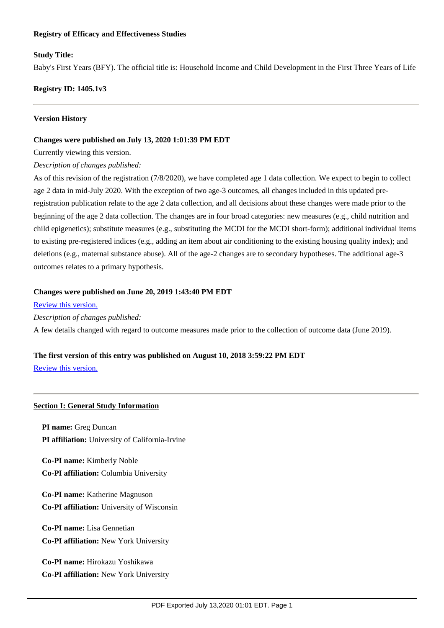## **Registry of Efficacy and Effectiveness Studies**

## **Study Title:**

Baby's First Years (BFY). The official title is: Household Income and Child Development in the First Three Years of Life

**Registry ID: 1405.1v3**

## **Version History**

#### **Changes were published on July 13, 2020 1:01:39 PM EDT**

Currently viewing this version.

#### *Description of changes published:*

As of this revision of the registration (7/8/2020), we have completed age 1 data collection. We expect to begin to collect age 2 data in mid-July 2020. With the exception of two age-3 outcomes, all changes included in this updated preregistration publication relate to the age 2 data collection, and all decisions about these changes were made prior to the beginning of the age 2 data collection. The changes are in four broad categories: new measures (e.g., child nutrition and child epigenetics); substitute measures (e.g., substituting the MCDI for the MCDI short-form); additional individual items to existing pre-registered indices (e.g., adding an item about air conditioning to the existing housing quality index); and deletions (e.g., maternal substance abuse). All of the age-2 changes are to secondary hypotheses. The additional age-3 outcomes relates to a primary hypothesis.

## **Changes were published on June 20, 2019 1:43:40 PM EDT**

#### [Review this version.](https://sreereg.icpsr.umich.edu/sreereg/subEntry/2219/pdf)

*Description of changes published:*

A few details changed with regard to outcome measures made prior to the collection of outcome data (June 2019).

## **The first version of this entry was published on August 10, 2018 3:59:22 PM EDT**

[Review this version.](https://sreereg.icpsr.umich.edu/sreereg/subEntry/1345/pdf)

## **Section I: General Study Information**

**PI name:** Greg Duncan **PI affiliation:** University of California-Irvine

**Co-PI name:** Kimberly Noble **Co-PI affiliation:** Columbia University

**Co-PI name:** Katherine Magnuson **Co-PI affiliation:** University of Wisconsin

**Co-PI name:** Lisa Gennetian **Co-PI affiliation:** New York University

**Co-PI name:** Hirokazu Yoshikawa **Co-PI affiliation:** New York University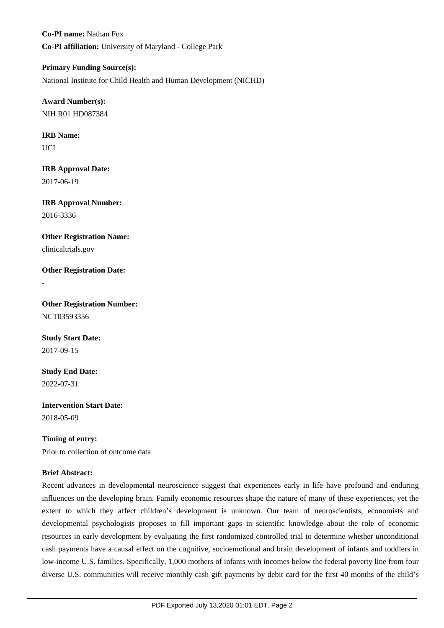**Co-PI name:** Nathan Fox **Co-PI affiliation:** University of Maryland - College Park

**Primary Funding Source(s):** National Institute for Child Health and Human Development (NICHD)

**Award Number(s):** NIH R01 HD087384

**IRB Name:** UCI

**IRB Approval Date:** 2017-06-19

**IRB Approval Number:** 2016-3336

**Other Registration Name:** clinicaltrials.gov

**Other Registration Date:**

-

**Other Registration Number:** NCT03593356

**Study Start Date:** 2017-09-15

**Study End Date:** 2022-07-31

**Intervention Start Date:** 2018-05-09

**Timing of entry:** Prior to collection of outcome data

## **Brief Abstract:**

Recent advances in developmental neuroscience suggest that experiences early in life have profound and enduring influences on the developing brain. Family economic resources shape the nature of many of these experiences, yet the extent to which they affect children's development is unknown. Our team of neuroscientists, economists and developmental psychologists proposes to fill important gaps in scientific knowledge about the role of economic resources in early development by evaluating the first randomized controlled trial to determine whether unconditional cash payments have a causal effect on the cognitive, socioemotional and brain development of infants and toddlers in low-income U.S. families. Specifically, 1,000 mothers of infants with incomes below the federal poverty line from four diverse U.S. communities will receive monthly cash gift payments by debit card for the first 40 months of the child's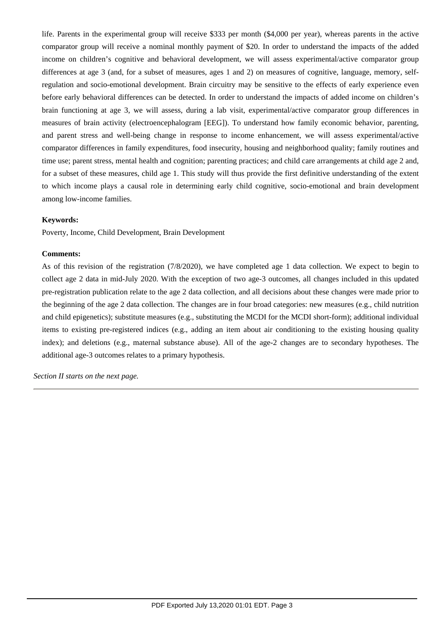life. Parents in the experimental group will receive \$333 per month (\$4,000 per year), whereas parents in the active comparator group will receive a nominal monthly payment of \$20. In order to understand the impacts of the added income on children's cognitive and behavioral development, we will assess experimental/active comparator group differences at age 3 (and, for a subset of measures, ages 1 and 2) on measures of cognitive, language, memory, selfregulation and socio-emotional development. Brain circuitry may be sensitive to the effects of early experience even before early behavioral differences can be detected. In order to understand the impacts of added income on children's brain functioning at age 3, we will assess, during a lab visit, experimental/active comparator group differences in measures of brain activity (electroencephalogram [EEG]). To understand how family economic behavior, parenting, and parent stress and well-being change in response to income enhancement, we will assess experimental/active comparator differences in family expenditures, food insecurity, housing and neighborhood quality; family routines and time use; parent stress, mental health and cognition; parenting practices; and child care arrangements at child age 2 and, for a subset of these measures, child age 1. This study will thus provide the first definitive understanding of the extent to which income plays a causal role in determining early child cognitive, socio-emotional and brain development among low-income families.

#### **Keywords:**

Poverty, Income, Child Development, Brain Development

#### **Comments:**

As of this revision of the registration (7/8/2020), we have completed age 1 data collection. We expect to begin to collect age 2 data in mid-July 2020. With the exception of two age-3 outcomes, all changes included in this updated pre-registration publication relate to the age 2 data collection, and all decisions about these changes were made prior to the beginning of the age 2 data collection. The changes are in four broad categories: new measures (e.g., child nutrition and child epigenetics); substitute measures (e.g., substituting the MCDI for the MCDI short-form); additional individual items to existing pre-registered indices (e.g., adding an item about air conditioning to the existing housing quality index); and deletions (e.g., maternal substance abuse). All of the age-2 changes are to secondary hypotheses. The additional age-3 outcomes relates to a primary hypothesis.

*Section II starts on the next page.*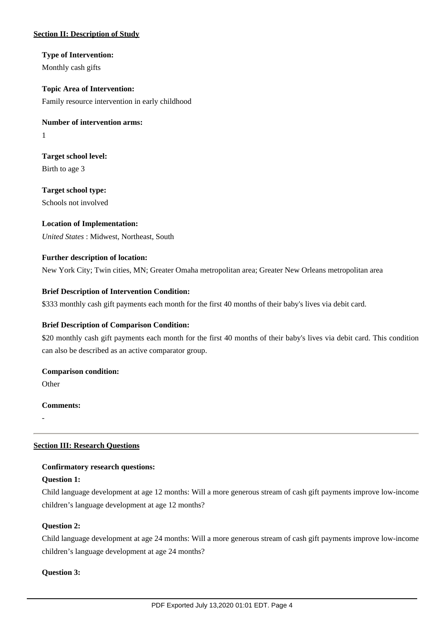## **Section II: Description of Study**

**Type of Intervention:** Monthly cash gifts

**Topic Area of Intervention:** Family resource intervention in early childhood

**Number of intervention arms:** 1

**Target school level:** Birth to age 3

**Target school type:** Schools not involved

## **Location of Implementation:**

*United States* : Midwest, Northeast, South

## **Further description of location:**

New York City; Twin cities, MN; Greater Omaha metropolitan area; Greater New Orleans metropolitan area

## **Brief Description of Intervention Condition:**

\$333 monthly cash gift payments each month for the first 40 months of their baby's lives via debit card.

## **Brief Description of Comparison Condition:**

\$20 monthly cash gift payments each month for the first 40 months of their baby's lives via debit card. This condition can also be described as an active comparator group.

## **Comparison condition:**

**Other** 

## **Comments:**

-

## **Section III: Research Questions**

## **Confirmatory research questions:**

## **Question 1:**

Child language development at age 12 months: Will a more generous stream of cash gift payments improve low-income children's language development at age 12 months?

## **Question 2:**

Child language development at age 24 months: Will a more generous stream of cash gift payments improve low-income children's language development at age 24 months?

## **Question 3:**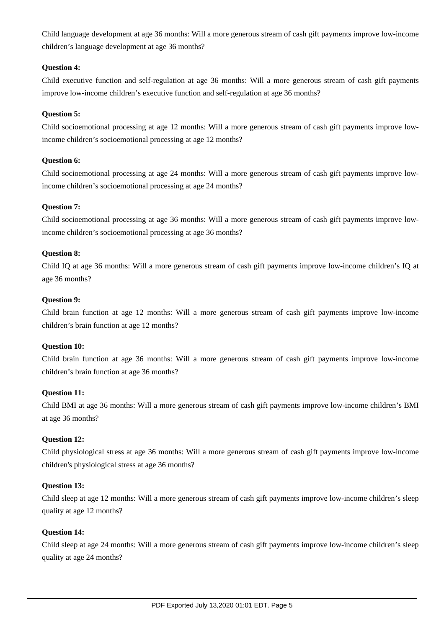Child language development at age 36 months: Will a more generous stream of cash gift payments improve low-income children's language development at age 36 months?

## **Question 4:**

Child executive function and self-regulation at age 36 months: Will a more generous stream of cash gift payments improve low-income children's executive function and self-regulation at age 36 months?

## **Question 5:**

Child socioemotional processing at age 12 months: Will a more generous stream of cash gift payments improve lowincome children's socioemotional processing at age 12 months?

## **Question 6:**

Child socioemotional processing at age 24 months: Will a more generous stream of cash gift payments improve lowincome children's socioemotional processing at age 24 months?

## **Question 7:**

Child socioemotional processing at age 36 months: Will a more generous stream of cash gift payments improve lowincome children's socioemotional processing at age 36 months?

## **Question 8:**

Child IQ at age 36 months: Will a more generous stream of cash gift payments improve low-income children's IQ at age 36 months?

## **Question 9:**

Child brain function at age 12 months: Will a more generous stream of cash gift payments improve low-income children's brain function at age 12 months?

## **Question 10:**

Child brain function at age 36 months: Will a more generous stream of cash gift payments improve low-income children's brain function at age 36 months?

## **Question 11:**

Child BMI at age 36 months: Will a more generous stream of cash gift payments improve low-income children's BMI at age 36 months?

## **Question 12:**

Child physiological stress at age 36 months: Will a more generous stream of cash gift payments improve low-income children's physiological stress at age 36 months?

## **Question 13:**

Child sleep at age 12 months: Will a more generous stream of cash gift payments improve low-income children's sleep quality at age 12 months?

## **Question 14:**

Child sleep at age 24 months: Will a more generous stream of cash gift payments improve low-income children's sleep quality at age 24 months?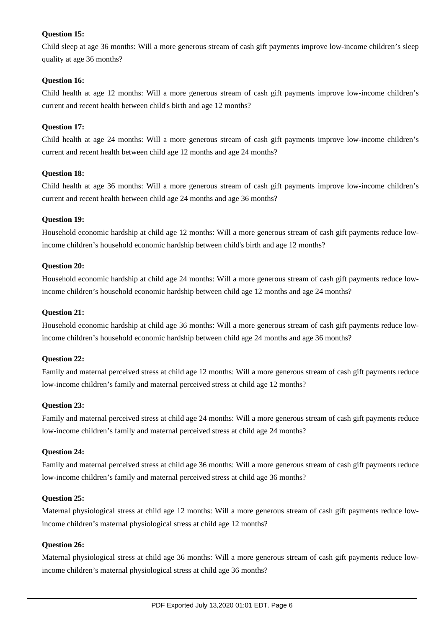## **Question 15:**

Child sleep at age 36 months: Will a more generous stream of cash gift payments improve low-income children's sleep quality at age 36 months?

## **Question 16:**

Child health at age 12 months: Will a more generous stream of cash gift payments improve low-income children's current and recent health between child's birth and age 12 months?

## **Question 17:**

Child health at age 24 months: Will a more generous stream of cash gift payments improve low-income children's current and recent health between child age 12 months and age 24 months?

## **Question 18:**

Child health at age 36 months: Will a more generous stream of cash gift payments improve low-income children's current and recent health between child age 24 months and age 36 months?

## **Question 19:**

Household economic hardship at child age 12 months: Will a more generous stream of cash gift payments reduce lowincome children's household economic hardship between child's birth and age 12 months?

## **Question 20:**

Household economic hardship at child age 24 months: Will a more generous stream of cash gift payments reduce lowincome children's household economic hardship between child age 12 months and age 24 months?

## **Question 21:**

Household economic hardship at child age 36 months: Will a more generous stream of cash gift payments reduce lowincome children's household economic hardship between child age 24 months and age 36 months?

## **Question 22:**

Family and maternal perceived stress at child age 12 months: Will a more generous stream of cash gift payments reduce low-income children's family and maternal perceived stress at child age 12 months?

## **Question 23:**

Family and maternal perceived stress at child age 24 months: Will a more generous stream of cash gift payments reduce low-income children's family and maternal perceived stress at child age 24 months?

## **Question 24:**

Family and maternal perceived stress at child age 36 months: Will a more generous stream of cash gift payments reduce low-income children's family and maternal perceived stress at child age 36 months?

## **Question 25:**

Maternal physiological stress at child age 12 months: Will a more generous stream of cash gift payments reduce lowincome children's maternal physiological stress at child age 12 months?

## **Question 26:**

Maternal physiological stress at child age 36 months: Will a more generous stream of cash gift payments reduce lowincome children's maternal physiological stress at child age 36 months?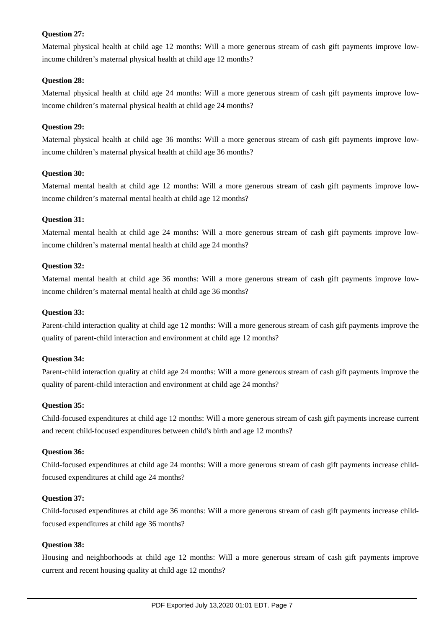## **Question 27:**

Maternal physical health at child age 12 months: Will a more generous stream of cash gift payments improve lowincome children's maternal physical health at child age 12 months?

## **Question 28:**

Maternal physical health at child age 24 months: Will a more generous stream of cash gift payments improve lowincome children's maternal physical health at child age 24 months?

## **Question 29:**

Maternal physical health at child age 36 months: Will a more generous stream of cash gift payments improve lowincome children's maternal physical health at child age 36 months?

## **Question 30:**

Maternal mental health at child age 12 months: Will a more generous stream of cash gift payments improve lowincome children's maternal mental health at child age 12 months?

## **Question 31:**

Maternal mental health at child age 24 months: Will a more generous stream of cash gift payments improve lowincome children's maternal mental health at child age 24 months?

## **Question 32:**

Maternal mental health at child age 36 months: Will a more generous stream of cash gift payments improve lowincome children's maternal mental health at child age 36 months?

## **Question 33:**

Parent-child interaction quality at child age 12 months: Will a more generous stream of cash gift payments improve the quality of parent-child interaction and environment at child age 12 months?

## **Question 34:**

Parent-child interaction quality at child age 24 months: Will a more generous stream of cash gift payments improve the quality of parent-child interaction and environment at child age 24 months?

## **Question 35:**

Child-focused expenditures at child age 12 months: Will a more generous stream of cash gift payments increase current and recent child-focused expenditures between child's birth and age 12 months?

## **Question 36:**

Child-focused expenditures at child age 24 months: Will a more generous stream of cash gift payments increase childfocused expenditures at child age 24 months?

## **Question 37:**

Child-focused expenditures at child age 36 months: Will a more generous stream of cash gift payments increase childfocused expenditures at child age 36 months?

## **Question 38:**

Housing and neighborhoods at child age 12 months: Will a more generous stream of cash gift payments improve current and recent housing quality at child age 12 months?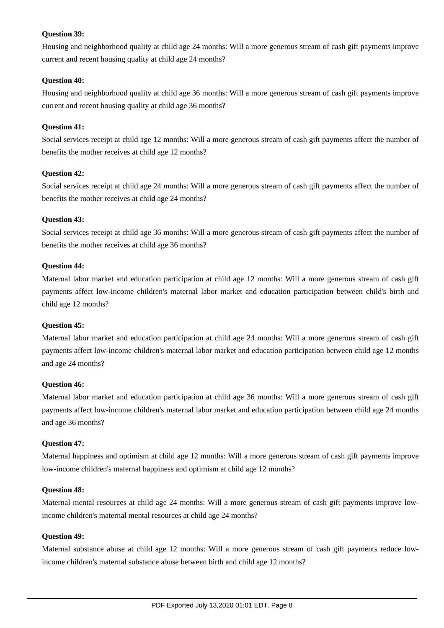## **Question 39:**

Housing and neighborhood quality at child age 24 months: Will a more generous stream of cash gift payments improve current and recent housing quality at child age 24 months?

## **Question 40:**

Housing and neighborhood quality at child age 36 months: Will a more generous stream of cash gift payments improve current and recent housing quality at child age 36 months?

## **Question 41:**

Social services receipt at child age 12 months: Will a more generous stream of cash gift payments affect the number of benefits the mother receives at child age 12 months?

## **Question 42:**

Social services receipt at child age 24 months: Will a more generous stream of cash gift payments affect the number of benefits the mother receives at child age 24 months?

## **Question 43:**

Social services receipt at child age 36 months: Will a more generous stream of cash gift payments affect the number of benefits the mother receives at child age 36 months?

## **Question 44:**

Maternal labor market and education participation at child age 12 months: Will a more generous stream of cash gift payments affect low-income children's maternal labor market and education participation between child's birth and child age 12 months?

## **Question 45:**

Maternal labor market and education participation at child age 24 months: Will a more generous stream of cash gift payments affect low-income children's maternal labor market and education participation between child age 12 months and age 24 months?

## **Question 46:**

Maternal labor market and education participation at child age 36 months: Will a more generous stream of cash gift payments affect low-income children's maternal labor market and education participation between child age 24 months and age 36 months?

## **Question 47:**

Maternal happiness and optimism at child age 12 months: Will a more generous stream of cash gift payments improve low-income children's maternal happiness and optimism at child age 12 months?

## **Question 48:**

Maternal mental resources at child age 24 months: Will a more generous stream of cash gift payments improve lowincome children's maternal mental resources at child age 24 months?

## **Question 49:**

Maternal substance abuse at child age 12 months: Will a more generous stream of cash gift payments reduce lowincome children's maternal substance abuse between birth and child age 12 months?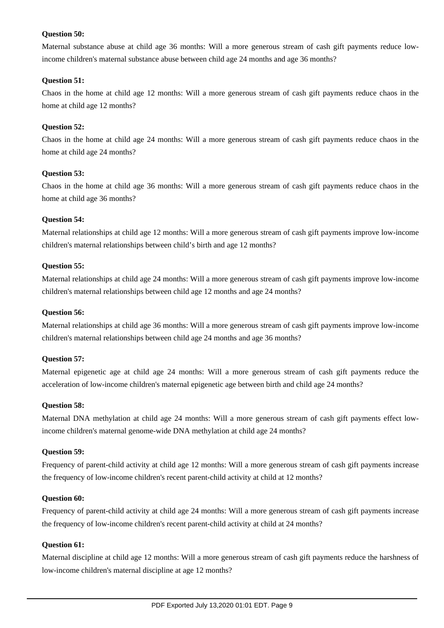## **Question 50:**

Maternal substance abuse at child age 36 months: Will a more generous stream of cash gift payments reduce lowincome children's maternal substance abuse between child age 24 months and age 36 months?

## **Question 51:**

Chaos in the home at child age 12 months: Will a more generous stream of cash gift payments reduce chaos in the home at child age 12 months?

## **Question 52:**

Chaos in the home at child age 24 months: Will a more generous stream of cash gift payments reduce chaos in the home at child age 24 months?

## **Question 53:**

Chaos in the home at child age 36 months: Will a more generous stream of cash gift payments reduce chaos in the home at child age 36 months?

## **Question 54:**

Maternal relationships at child age 12 months: Will a more generous stream of cash gift payments improve low-income children's maternal relationships between child's birth and age 12 months?

## **Question 55:**

Maternal relationships at child age 24 months: Will a more generous stream of cash gift payments improve low-income children's maternal relationships between child age 12 months and age 24 months?

## **Question 56:**

Maternal relationships at child age 36 months: Will a more generous stream of cash gift payments improve low-income children's maternal relationships between child age 24 months and age 36 months?

## **Question 57:**

Maternal epigenetic age at child age 24 months: Will a more generous stream of cash gift payments reduce the acceleration of low-income children's maternal epigenetic age between birth and child age 24 months?

## **Question 58:**

Maternal DNA methylation at child age 24 months: Will a more generous stream of cash gift payments effect lowincome children's maternal genome-wide DNA methylation at child age 24 months?

## **Question 59:**

Frequency of parent-child activity at child age 12 months: Will a more generous stream of cash gift payments increase the frequency of low-income children's recent parent-child activity at child at 12 months?

## **Question 60:**

Frequency of parent-child activity at child age 24 months: Will a more generous stream of cash gift payments increase the frequency of low-income children's recent parent-child activity at child at 24 months?

## **Question 61:**

Maternal discipline at child age 12 months: Will a more generous stream of cash gift payments reduce the harshness of low-income children's maternal discipline at age 12 months?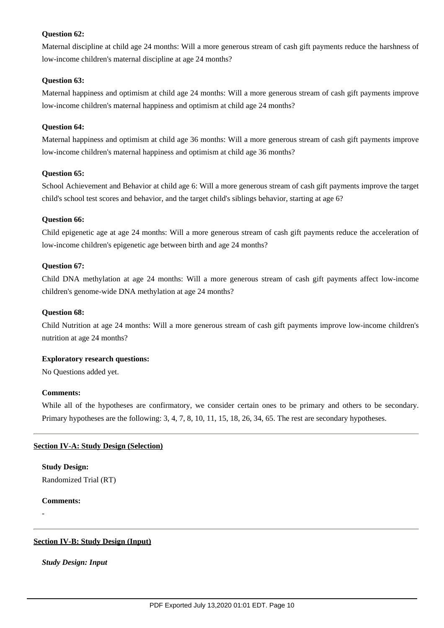## **Question 62:**

Maternal discipline at child age 24 months: Will a more generous stream of cash gift payments reduce the harshness of low-income children's maternal discipline at age 24 months?

## **Question 63:**

Maternal happiness and optimism at child age 24 months: Will a more generous stream of cash gift payments improve low-income children's maternal happiness and optimism at child age 24 months?

## **Question 64:**

Maternal happiness and optimism at child age 36 months: Will a more generous stream of cash gift payments improve low-income children's maternal happiness and optimism at child age 36 months?

## **Question 65:**

School Achievement and Behavior at child age 6: Will a more generous stream of cash gift payments improve the target child's school test scores and behavior, and the target child's siblings behavior, starting at age 6?

## **Question 66:**

Child epigenetic age at age 24 months: Will a more generous stream of cash gift payments reduce the acceleration of low-income children's epigenetic age between birth and age 24 months?

## **Question 67:**

Child DNA methylation at age 24 months: Will a more generous stream of cash gift payments affect low-income children's genome-wide DNA methylation at age 24 months?

## **Question 68:**

Child Nutrition at age 24 months: Will a more generous stream of cash gift payments improve low-income children's nutrition at age 24 months?

## **Exploratory research questions:**

No Questions added yet.

## **Comments:**

While all of the hypotheses are confirmatory, we consider certain ones to be primary and others to be secondary. Primary hypotheses are the following: 3, 4, 7, 8, 10, 11, 15, 18, 26, 34, 65. The rest are secondary hypotheses.

## **Section IV-A: Study Design (Selection)**

# **Study Design:**

Randomized Trial (RT)

## **Comments:**

-

## **Section IV-B: Study Design (Input)**

*Study Design: Input*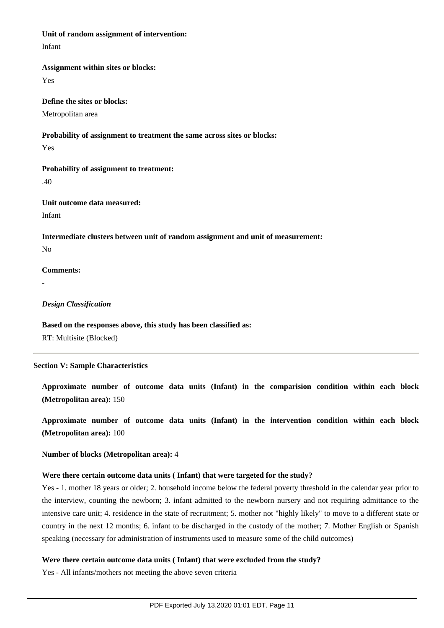#### **Unit of random assignment of intervention:**

Infant

#### **Assignment within sites or blocks:**

Yes

#### **Define the sites or blocks:**

Metropolitan area

## **Probability of assignment to treatment the same across sites or blocks:**

Yes

## **Probability of assignment to treatment:**

.40

## **Unit outcome data measured:** Infant

**Intermediate clusters between unit of random assignment and unit of measurement:** No

## **Comments:**

-

## *Design Classification*

# **Based on the responses above, this study has been classified as:**

RT: Multisite (Blocked)

## **Section V: Sample Characteristics**

## **Approximate number of outcome data units (Infant) in the comparision condition within each block (Metropolitan area):** 150

**Approximate number of outcome data units (Infant) in the intervention condition within each block (Metropolitan area):** 100

## **Number of blocks (Metropolitan area):** 4

## **Were there certain outcome data units ( Infant) that were targeted for the study?**

Yes - 1. mother 18 years or older; 2. household income below the federal poverty threshold in the calendar year prior to the interview, counting the newborn; 3. infant admitted to the newborn nursery and not requiring admittance to the intensive care unit; 4. residence in the state of recruitment; 5. mother not "highly likely" to move to a different state or country in the next 12 months; 6. infant to be discharged in the custody of the mother; 7. Mother English or Spanish speaking (necessary for administration of instruments used to measure some of the child outcomes)

## **Were there certain outcome data units ( Infant) that were excluded from the study?**

Yes - All infants/mothers not meeting the above seven criteria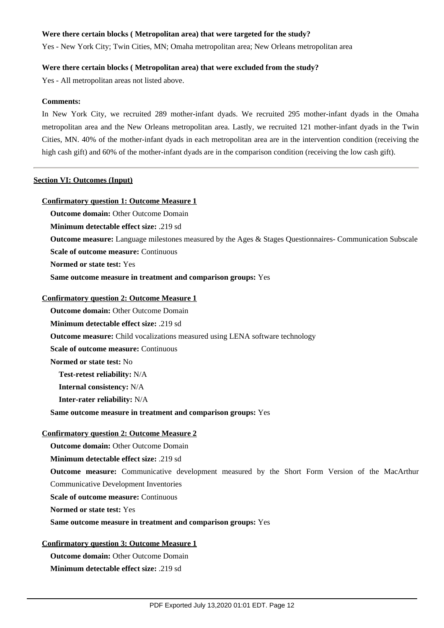#### **Were there certain blocks ( Metropolitan area) that were targeted for the study?**

Yes - New York City; Twin Cities, MN; Omaha metropolitan area; New Orleans metropolitan area

#### **Were there certain blocks ( Metropolitan area) that were excluded from the study?**

Yes - All metropolitan areas not listed above.

#### **Comments:**

In New York City, we recruited 289 mother-infant dyads. We recruited 295 mother-infant dyads in the Omaha metropolitan area and the New Orleans metropolitan area. Lastly, we recruited 121 mother-infant dyads in the Twin Cities, MN. 40% of the mother-infant dyads in each metropolitan area are in the intervention condition (receiving the high cash gift) and 60% of the mother-infant dyads are in the comparison condition (receiving the low cash gift).

#### **Section VI: Outcomes (Input)**

#### **Confirmatory question 1: Outcome Measure 1**

**Outcome domain:** Other Outcome Domain

**Minimum detectable effect size:** .219 sd

**Outcome measure:** Language milestones measured by the Ages & Stages Questionnaires- Communication Subscale

**Scale of outcome measure:** Continuous

**Normed or state test:** Yes

**Same outcome measure in treatment and comparison groups:** Yes

#### **Confirmatory question 2: Outcome Measure 1**

**Outcome domain:** Other Outcome Domain **Minimum detectable effect size:** .219 sd

**Outcome measure:** Child vocalizations measured using LENA software technology

**Scale of outcome measure: Continuous** 

**Normed or state test:** No

**Test-retest reliability:** N/A

**Internal consistency:** N/A

**Inter-rater reliability:** N/A

**Same outcome measure in treatment and comparison groups:** Yes

#### **Confirmatory question 2: Outcome Measure 2**

**Outcome domain:** Other Outcome Domain

**Minimum detectable effect size:** .219 sd

**Outcome measure:** Communicative development measured by the Short Form Version of the MacArthur

Communicative Development Inventories

**Scale of outcome measure:** Continuous

**Normed or state test:** Yes

**Same outcome measure in treatment and comparison groups:** Yes

#### **Confirmatory question 3: Outcome Measure 1**

**Outcome domain:** Other Outcome Domain **Minimum detectable effect size:** .219 sd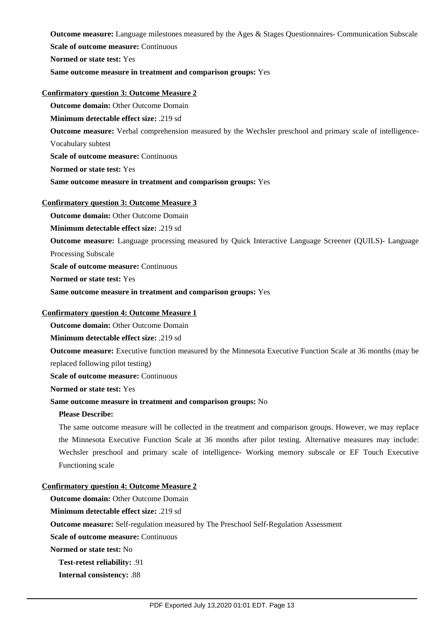**Outcome measure:** Language milestones measured by the Ages & Stages Questionnaires- Communication Subscale **Scale of outcome measure: Continuous Normed or state test:** Yes

**Same outcome measure in treatment and comparison groups:** Yes

#### **Confirmatory question 3: Outcome Measure 2**

**Outcome domain:** Other Outcome Domain

**Minimum detectable effect size:** .219 sd

**Outcome measure:** Verbal comprehension measured by the Wechsler preschool and primary scale of intelligence-

Vocabulary subtest

**Scale of outcome measure:** Continuous

**Normed or state test:** Yes

**Same outcome measure in treatment and comparison groups:** Yes

## **Confirmatory question 3: Outcome Measure 3**

**Outcome domain:** Other Outcome Domain

**Minimum detectable effect size:** .219 sd

**Outcome measure:** Language processing measured by Quick Interactive Language Screener (QUILS)- Language Processing Subscale

**Scale of outcome measure: Continuous** 

**Normed or state test:** Yes

**Same outcome measure in treatment and comparison groups:** Yes

#### **Confirmatory question 4: Outcome Measure 1**

**Outcome domain:** Other Outcome Domain

**Minimum detectable effect size:** .219 sd

**Outcome measure:** Executive function measured by the Minnesota Executive Function Scale at 36 months (may be

**Scale of outcome measure:** Continuous

**Normed or state test:** Yes

replaced following pilot testing)

## **Same outcome measure in treatment and comparison groups:** No

#### **Please Describe:**

The same outcome measure will be collected in the treatment and comparison groups. However, we may replace the Minnesota Executive Function Scale at 36 months after pilot testing. Alternative measures may include: Wechsler preschool and primary scale of intelligence- Working memory subscale or EF Touch Executive Functioning scale

## **Confirmatory question 4: Outcome Measure 2**

**Outcome domain:** Other Outcome Domain

**Minimum detectable effect size:** .219 sd

**Outcome measure:** Self-regulation measured by The Preschool Self-Regulation Assessment

**Scale of outcome measure: Continuous** 

**Normed or state test:** No

**Test-retest reliability:** .91

**Internal consistency:** .88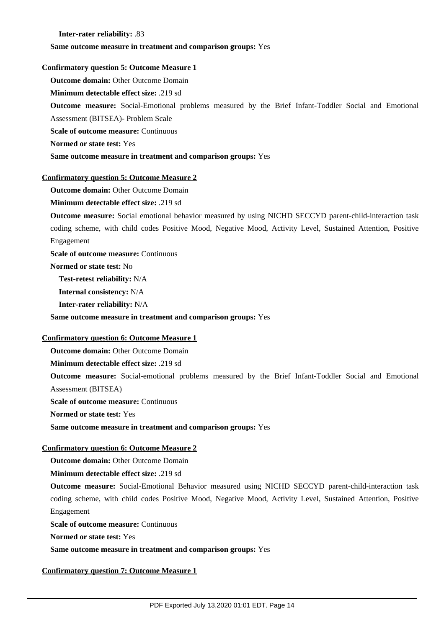## **Inter-rater reliability:** .83

#### **Same outcome measure in treatment and comparison groups:** Yes

#### **Confirmatory question 5: Outcome Measure 1**

**Outcome domain:** Other Outcome Domain

**Minimum detectable effect size:** .219 sd

**Outcome measure:** Social-Emotional problems measured by the Brief Infant-Toddler Social and Emotional Assessment (BITSEA)- Problem Scale

**Scale of outcome measure: Continuous** 

**Normed or state test:** Yes

**Same outcome measure in treatment and comparison groups:** Yes

#### **Confirmatory question 5: Outcome Measure 2**

**Outcome domain:** Other Outcome Domain

**Minimum detectable effect size:** .219 sd

**Outcome measure:** Social emotional behavior measured by using NICHD SECCYD parent-child-interaction task coding scheme, with child codes Positive Mood, Negative Mood, Activity Level, Sustained Attention, Positive Engagement

**Scale of outcome measure: Continuous** 

**Normed or state test:** No

**Test-retest reliability:** N/A

**Internal consistency:** N/A

**Inter-rater reliability:** N/A

**Same outcome measure in treatment and comparison groups:** Yes

## **Confirmatory question 6: Outcome Measure 1**

**Outcome domain: Other Outcome Domain** 

**Minimum detectable effect size:** .219 sd

**Outcome measure:** Social-emotional problems measured by the Brief Infant-Toddler Social and Emotional Assessment (BITSEA)

**Scale of outcome measure: Continuous** 

**Normed or state test:** Yes

**Same outcome measure in treatment and comparison groups:** Yes

## **Confirmatory question 6: Outcome Measure 2**

**Outcome domain:** Other Outcome Domain

**Minimum detectable effect size:** .219 sd

**Outcome measure:** Social-Emotional Behavior measured using NICHD SECCYD parent-child-interaction task coding scheme, with child codes Positive Mood, Negative Mood, Activity Level, Sustained Attention, Positive Engagement

**Scale of outcome measure: Continuous** 

**Normed or state test:** Yes

**Same outcome measure in treatment and comparison groups:** Yes

## **Confirmatory question 7: Outcome Measure 1**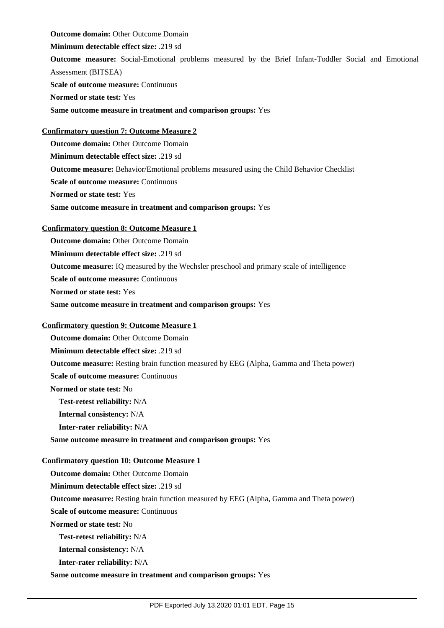**Outcome domain:** Other Outcome Domain

**Minimum detectable effect size:** .219 sd

**Outcome measure:** Social-Emotional problems measured by the Brief Infant-Toddler Social and Emotional Assessment (BITSEA)

**Scale of outcome measure:** Continuous

**Normed or state test:** Yes

**Same outcome measure in treatment and comparison groups:** Yes

## **Confirmatory question 7: Outcome Measure 2**

**Outcome domain:** Other Outcome Domain **Minimum detectable effect size:** .219 sd **Outcome measure:** Behavior/Emotional problems measured using the Child Behavior Checklist **Scale of outcome measure: Continuous Normed or state test:** Yes **Same outcome measure in treatment and comparison groups:** Yes

## **Confirmatory question 8: Outcome Measure 1**

**Outcome domain:** Other Outcome Domain **Minimum detectable effect size:** .219 sd **Outcome measure:** IQ measured by the Wechsler preschool and primary scale of intelligence **Scale of outcome measure: Continuous Normed or state test:** Yes **Same outcome measure in treatment and comparison groups:** Yes

## **Confirmatory question 9: Outcome Measure 1**

**Outcome domain:** Other Outcome Domain **Minimum detectable effect size:** .219 sd **Outcome measure:** Resting brain function measured by EEG (Alpha, Gamma and Theta power) **Scale of outcome measure: Continuous Normed or state test:** No **Test-retest reliability:** N/A **Internal consistency:** N/A **Inter-rater reliability:** N/A **Same outcome measure in treatment and comparison groups:** Yes **Confirmatory question 10: Outcome Measure 1 Outcome domain:** Other Outcome Domain **Minimum detectable effect size:** .219 sd

**Outcome measure:** Resting brain function measured by EEG (Alpha, Gamma and Theta power)

**Scale of outcome measure: Continuous** 

**Normed or state test:** No

**Test-retest reliability:** N/A

**Internal consistency:** N/A

**Inter-rater reliability:** N/A

**Same outcome measure in treatment and comparison groups:** Yes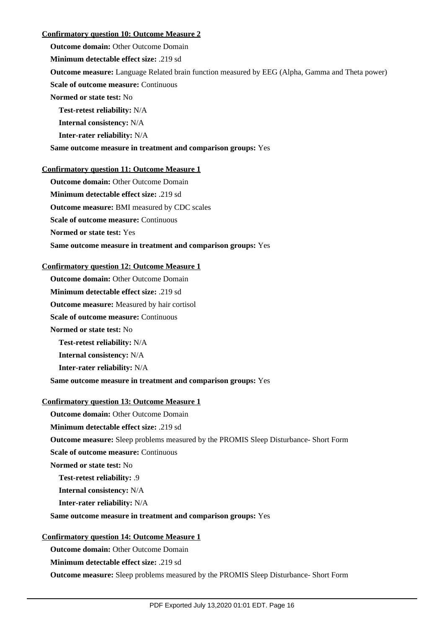## **Confirmatory question 10: Outcome Measure 2**

**Outcome domain:** Other Outcome Domain

**Minimum detectable effect size:** .219 sd

**Outcome measure:** Language Related brain function measured by EEG (Alpha, Gamma and Theta power)

**Scale of outcome measure:** Continuous

**Normed or state test:** No

**Test-retest reliability:** N/A

**Internal consistency:** N/A

**Inter-rater reliability:** N/A

## **Same outcome measure in treatment and comparison groups:** Yes

## **Confirmatory question 11: Outcome Measure 1**

**Outcome domain:** Other Outcome Domain

**Minimum detectable effect size:** .219 sd

**Outcome measure:** BMI measured by CDC scales

**Scale of outcome measure: Continuous** 

**Normed or state test:** Yes

**Same outcome measure in treatment and comparison groups:** Yes

### **Confirmatory question 12: Outcome Measure 1**

**Outcome domain:** Other Outcome Domain

**Minimum detectable effect size:** .219 sd

**Outcome measure:** Measured by hair cortisol

**Scale of outcome measure:** Continuous

**Normed or state test:** No

**Test-retest reliability:** N/A

**Internal consistency:** N/A

**Inter-rater reliability:** N/A

**Same outcome measure in treatment and comparison groups:** Yes

## **Confirmatory question 13: Outcome Measure 1**

**Outcome domain:** Other Outcome Domain

**Minimum detectable effect size:** .219 sd

**Outcome measure:** Sleep problems measured by the PROMIS Sleep Disturbance- Short Form

**Scale of outcome measure:** Continuous

**Normed or state test:** No

**Test-retest reliability:** .9

**Internal consistency:** N/A

**Inter-rater reliability:** N/A

## **Same outcome measure in treatment and comparison groups:** Yes

## **Confirmatory question 14: Outcome Measure 1**

**Outcome domain:** Other Outcome Domain

**Minimum detectable effect size:** .219 sd

**Outcome measure:** Sleep problems measured by the PROMIS Sleep Disturbance- Short Form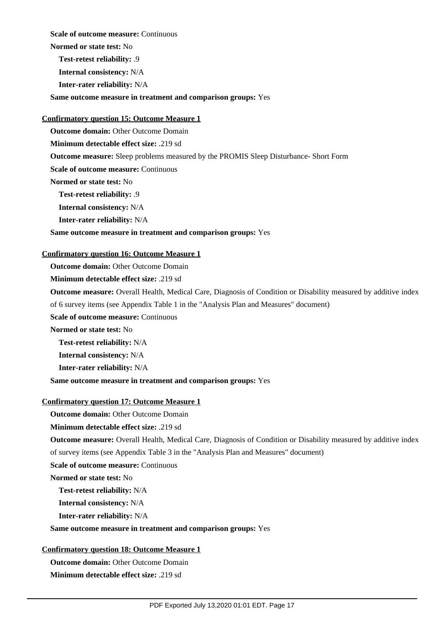**Scale of outcome measure: Continuous** 

**Normed or state test:** No

**Test-retest reliability:** .9

**Internal consistency:** N/A

**Inter-rater reliability:** N/A

**Same outcome measure in treatment and comparison groups:** Yes

## **Confirmatory question 15: Outcome Measure 1**

**Outcome domain:** Other Outcome Domain

**Minimum detectable effect size:** .219 sd

**Outcome measure:** Sleep problems measured by the PROMIS Sleep Disturbance- Short Form

**Scale of outcome measure: Continuous** 

**Normed or state test:** No

**Test-retest reliability:** .9

**Internal consistency:** N/A

**Inter-rater reliability:** N/A

## **Same outcome measure in treatment and comparison groups:** Yes

## **Confirmatory question 16: Outcome Measure 1**

**Outcome domain:** Other Outcome Domain

**Minimum detectable effect size:** .219 sd

**Outcome measure:** Overall Health, Medical Care, Diagnosis of Condition or Disability measured by additive index

of 6 survey items (see Appendix Table 1 in the "Analysis Plan and Measures" document)

**Scale of outcome measure:** Continuous

**Normed or state test:** No

**Test-retest reliability:** N/A

**Internal consistency:** N/A

**Inter-rater reliability:** N/A

**Same outcome measure in treatment and comparison groups:** Yes

## **Confirmatory question 17: Outcome Measure 1**

**Outcome domain:** Other Outcome Domain

**Minimum detectable effect size:** .219 sd

**Outcome measure:** Overall Health, Medical Care, Diagnosis of Condition or Disability measured by additive index

of survey items (see Appendix Table 3 in the "Analysis Plan and Measures" document)

**Scale of outcome measure: Continuous** 

**Normed or state test:** No

**Test-retest reliability:** N/A

**Internal consistency:** N/A

**Inter-rater reliability:** N/A

## **Same outcome measure in treatment and comparison groups:** Yes

## **Confirmatory question 18: Outcome Measure 1**

**Outcome domain:** Other Outcome Domain **Minimum detectable effect size:** .219 sd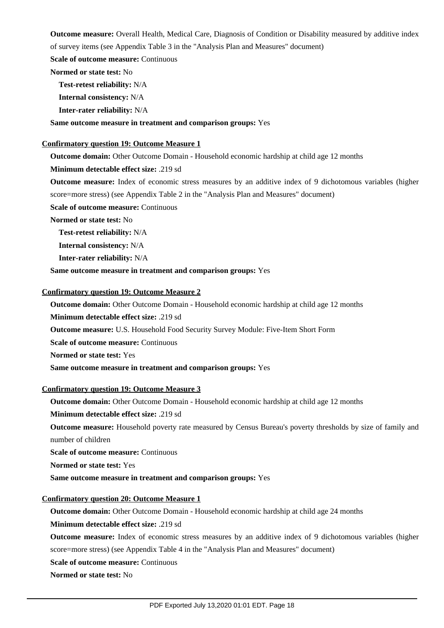**Outcome measure:** Overall Health, Medical Care, Diagnosis of Condition or Disability measured by additive index of survey items (see Appendix Table 3 in the "Analysis Plan and Measures" document)

**Scale of outcome measure: Continuous** 

**Normed or state test:** No

**Test-retest reliability:** N/A

**Internal consistency:** N/A

**Inter-rater reliability:** N/A

**Same outcome measure in treatment and comparison groups:** Yes

#### **Confirmatory question 19: Outcome Measure 1**

**Outcome domain:** Other Outcome Domain - Household economic hardship at child age 12 months

#### **Minimum detectable effect size:** .219 sd

**Outcome measure:** Index of economic stress measures by an additive index of 9 dichotomous variables (higher score=more stress) (see Appendix Table 2 in the "Analysis Plan and Measures" document)

**Scale of outcome measure:** Continuous

**Normed or state test:** No

**Test-retest reliability:** N/A

**Internal consistency:** N/A

**Inter-rater reliability:** N/A

**Same outcome measure in treatment and comparison groups:** Yes

### **Confirmatory question 19: Outcome Measure 2**

**Outcome domain:** Other Outcome Domain - Household economic hardship at child age 12 months **Minimum detectable effect size:** .219 sd **Outcome measure:** U.S. Household Food Security Survey Module: Five-Item Short Form **Scale of outcome measure:** Continuous **Normed or state test:** Yes

**Same outcome measure in treatment and comparison groups:** Yes

## **Confirmatory question 19: Outcome Measure 3**

**Outcome domain:** Other Outcome Domain - Household economic hardship at child age 12 months

**Minimum detectable effect size:** .219 sd

**Outcome measure:** Household poverty rate measured by Census Bureau's poverty thresholds by size of family and number of children

**Scale of outcome measure:** Continuous

**Normed or state test:** Yes

**Same outcome measure in treatment and comparison groups:** Yes

## **Confirmatory question 20: Outcome Measure 1**

**Outcome domain:** Other Outcome Domain - Household economic hardship at child age 24 months

#### **Minimum detectable effect size:** .219 sd

**Outcome measure:** Index of economic stress measures by an additive index of 9 dichotomous variables (higher score=more stress) (see Appendix Table 4 in the "Analysis Plan and Measures" document)

**Scale of outcome measure: Continuous** 

**Normed or state test:** No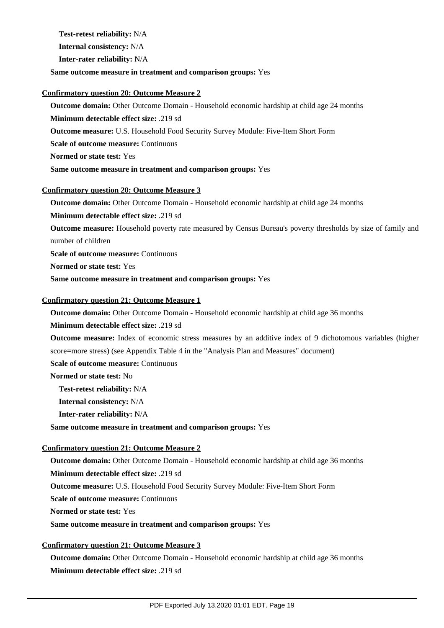**Test-retest reliability:** N/A

**Internal consistency:** N/A

**Inter-rater reliability:** N/A

## **Same outcome measure in treatment and comparison groups:** Yes

## **Confirmatory question 20: Outcome Measure 2**

**Outcome domain:** Other Outcome Domain - Household economic hardship at child age 24 months **Minimum detectable effect size:** .219 sd

**Outcome measure:** U.S. Household Food Security Survey Module: Five-Item Short Form

**Scale of outcome measure: Continuous** 

**Normed or state test:** Yes

**Same outcome measure in treatment and comparison groups:** Yes

## **Confirmatory question 20: Outcome Measure 3**

**Outcome domain:** Other Outcome Domain - Household economic hardship at child age 24 months

**Minimum detectable effect size:** .219 sd

**Outcome measure:** Household poverty rate measured by Census Bureau's poverty thresholds by size of family and number of children

**Scale of outcome measure: Continuous** 

**Normed or state test:** Yes

**Same outcome measure in treatment and comparison groups:** Yes

## **Confirmatory question 21: Outcome Measure 1**

**Outcome domain:** Other Outcome Domain - Household economic hardship at child age 36 months

**Minimum detectable effect size:** .219 sd

**Outcome measure:** Index of economic stress measures by an additive index of 9 dichotomous variables (higher score=more stress) (see Appendix Table 4 in the "Analysis Plan and Measures" document)

**Scale of outcome measure:** Continuous

**Normed or state test:** No

**Test-retest reliability:** N/A

**Internal consistency:** N/A

**Inter-rater reliability:** N/A

**Same outcome measure in treatment and comparison groups:** Yes

## **Confirmatory question 21: Outcome Measure 2**

**Outcome domain:** Other Outcome Domain - Household economic hardship at child age 36 months **Minimum detectable effect size:** .219 sd **Outcome measure:** U.S. Household Food Security Survey Module: Five-Item Short Form **Scale of outcome measure:** Continuous **Normed or state test:** Yes **Same outcome measure in treatment and comparison groups:** Yes

## **Confirmatory question 21: Outcome Measure 3**

**Outcome domain:** Other Outcome Domain - Household economic hardship at child age 36 months **Minimum detectable effect size:** .219 sd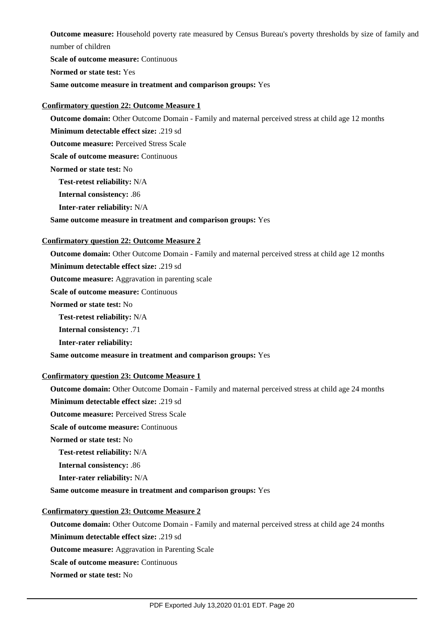**Outcome measure:** Household poverty rate measured by Census Bureau's poverty thresholds by size of family and number of children

**Scale of outcome measure: Continuous Normed or state test:** Yes **Same outcome measure in treatment and comparison groups:** Yes

## **Confirmatory question 22: Outcome Measure 1**

**Outcome domain:** Other Outcome Domain - Family and maternal perceived stress at child age 12 months

**Minimum detectable effect size:** .219 sd

**Outcome measure: Perceived Stress Scale** 

**Scale of outcome measure:** Continuous

**Normed or state test:** No

**Test-retest reliability:** N/A

**Internal consistency:** .86

**Inter-rater reliability:** N/A

## **Same outcome measure in treatment and comparison groups:** Yes

## **Confirmatory question 22: Outcome Measure 2**

**Outcome domain:** Other Outcome Domain - Family and maternal perceived stress at child age 12 months

**Minimum detectable effect size:** .219 sd

**Outcome measure:** Aggravation in parenting scale

**Scale of outcome measure:** Continuous

**Normed or state test:** No

**Test-retest reliability:** N/A

**Internal consistency:** .71

**Inter-rater reliability:** 

**Same outcome measure in treatment and comparison groups:** Yes

## **Confirmatory question 23: Outcome Measure 1**

**Outcome domain:** Other Outcome Domain - Family and maternal perceived stress at child age 24 months **Minimum detectable effect size:** .219 sd

**Outcome measure: Perceived Stress Scale** 

**Scale of outcome measure: Continuous** 

**Normed or state test:** No

**Test-retest reliability:** N/A

**Internal consistency:** .86

**Inter-rater reliability:** N/A

**Same outcome measure in treatment and comparison groups:** Yes

## **Confirmatory question 23: Outcome Measure 2**

**Outcome domain:** Other Outcome Domain - Family and maternal perceived stress at child age 24 months

**Minimum detectable effect size:** .219 sd

**Outcome measure:** Aggravation in Parenting Scale

**Scale of outcome measure: Continuous** 

**Normed or state test:** No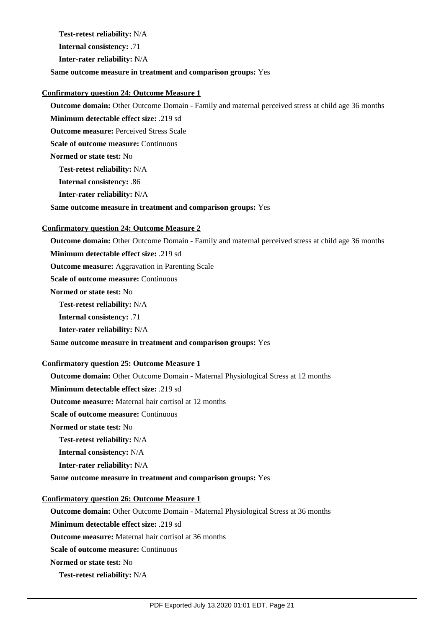**Test-retest reliability:** N/A

**Internal consistency:** .71

**Inter-rater reliability:** N/A

**Same outcome measure in treatment and comparison groups:** Yes

## **Confirmatory question 24: Outcome Measure 1**

**Outcome domain:** Other Outcome Domain - Family and maternal perceived stress at child age 36 months

**Minimum detectable effect size:** .219 sd

**Outcome measure: Perceived Stress Scale** 

**Scale of outcome measure:** Continuous

**Normed or state test:** No

**Test-retest reliability:** N/A

**Internal consistency:** .86

**Inter-rater reliability:** N/A

**Same outcome measure in treatment and comparison groups:** Yes

## **Confirmatory question 24: Outcome Measure 2**

**Outcome domain:** Other Outcome Domain - Family and maternal perceived stress at child age 36 months

**Minimum detectable effect size:** .219 sd

**Outcome measure:** Aggravation in Parenting Scale

**Scale of outcome measure: Continuous** 

**Normed or state test:** No

**Test-retest reliability:** N/A

**Internal consistency:** .71

**Inter-rater reliability:** N/A

**Same outcome measure in treatment and comparison groups:** Yes

## **Confirmatory question 25: Outcome Measure 1**

**Outcome domain:** Other Outcome Domain - Maternal Physiological Stress at 12 months

**Minimum detectable effect size:** .219 sd

**Outcome measure:** Maternal hair cortisol at 12 months

**Scale of outcome measure: Continuous** 

**Normed or state test:** No

**Test-retest reliability:** N/A

**Internal consistency:** N/A

**Inter-rater reliability:** N/A

**Same outcome measure in treatment and comparison groups:** Yes

## **Confirmatory question 26: Outcome Measure 1**

**Outcome domain:** Other Outcome Domain - Maternal Physiological Stress at 36 months

**Minimum detectable effect size:** .219 sd

**Outcome measure:** Maternal hair cortisol at 36 months

**Scale of outcome measure: Continuous** 

**Normed or state test:** No

**Test-retest reliability:** N/A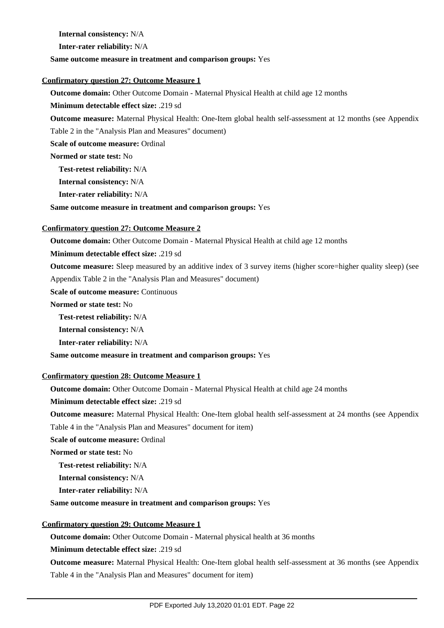**Internal consistency:** N/A

**Inter-rater reliability:** N/A

#### **Same outcome measure in treatment and comparison groups:** Yes

#### **Confirmatory question 27: Outcome Measure 1**

**Outcome domain:** Other Outcome Domain - Maternal Physical Health at child age 12 months

**Minimum detectable effect size:** .219 sd

**Outcome measure:** Maternal Physical Health: One-Item global health self-assessment at 12 months (see Appendix

Table 2 in the "Analysis Plan and Measures" document)

**Scale of outcome measure:** Ordinal

**Normed or state test:** No

**Test-retest reliability:** N/A

**Internal consistency:** N/A

**Inter-rater reliability:** N/A

**Same outcome measure in treatment and comparison groups:** Yes

## **Confirmatory question 27: Outcome Measure 2**

**Outcome domain:** Other Outcome Domain - Maternal Physical Health at child age 12 months

**Minimum detectable effect size:** .219 sd

**Outcome measure:** Sleep measured by an additive index of 3 survey items (higher score=higher quality sleep) (see

Appendix Table 2 in the "Analysis Plan and Measures" document)

**Scale of outcome measure: Continuous** 

**Normed or state test:** No

**Test-retest reliability:** N/A

**Internal consistency:** N/A

**Inter-rater reliability:** N/A

**Same outcome measure in treatment and comparison groups:** Yes

## **Confirmatory question 28: Outcome Measure 1**

**Outcome domain:** Other Outcome Domain - Maternal Physical Health at child age 24 months

**Minimum detectable effect size:** .219 sd

**Outcome measure:** Maternal Physical Health: One-Item global health self-assessment at 24 months (see Appendix

Table 4 in the "Analysis Plan and Measures" document for item)

**Scale of outcome measure:** Ordinal

**Normed or state test:** No

**Test-retest reliability:** N/A

**Internal consistency:** N/A

**Inter-rater reliability:** N/A

#### **Same outcome measure in treatment and comparison groups:** Yes

## **Confirmatory question 29: Outcome Measure 1**

**Outcome domain:** Other Outcome Domain - Maternal physical health at 36 months

**Minimum detectable effect size:** .219 sd

**Outcome measure:** Maternal Physical Health: One-Item global health self-assessment at 36 months (see Appendix Table 4 in the "Analysis Plan and Measures" document for item)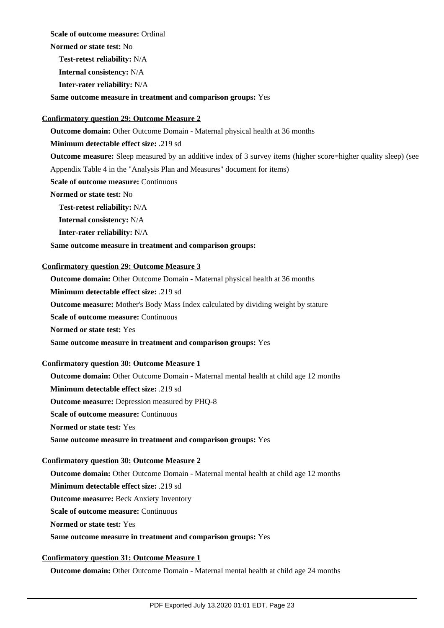**Scale of outcome measure:** Ordinal

**Normed or state test:** No

**Test-retest reliability:** N/A

**Internal consistency:** N/A

**Inter-rater reliability:** N/A

**Same outcome measure in treatment and comparison groups:** Yes

## **Confirmatory question 29: Outcome Measure 2**

**Outcome domain:** Other Outcome Domain - Maternal physical health at 36 months

**Minimum detectable effect size:** .219 sd

**Outcome measure:** Sleep measured by an additive index of 3 survey items (higher score=higher quality sleep) (see

Appendix Table 4 in the "Analysis Plan and Measures" document for items)

**Scale of outcome measure: Continuous** 

**Normed or state test:** No

**Test-retest reliability:** N/A

**Internal consistency:** N/A

**Inter-rater reliability:** N/A

## **Same outcome measure in treatment and comparison groups:**

## **Confirmatory question 29: Outcome Measure 3**

**Outcome domain:** Other Outcome Domain - Maternal physical health at 36 months

**Minimum detectable effect size:** .219 sd

**Outcome measure:** Mother's Body Mass Index calculated by dividing weight by stature

**Scale of outcome measure:** Continuous

**Normed or state test:** Yes

**Same outcome measure in treatment and comparison groups:** Yes

## **Confirmatory question 30: Outcome Measure 1**

**Outcome domain:** Other Outcome Domain - Maternal mental health at child age 12 months **Minimum detectable effect size:** .219 sd **Outcome measure:** Depression measured by PHQ-8 **Scale of outcome measure: Continuous Normed or state test:** Yes **Same outcome measure in treatment and comparison groups:** Yes

## **Confirmatory question 30: Outcome Measure 2**

**Outcome domain:** Other Outcome Domain - Maternal mental health at child age 12 months

**Minimum detectable effect size:** .219 sd

**Outcome measure:** Beck Anxiety Inventory

**Scale of outcome measure: Continuous** 

**Normed or state test:** Yes

## **Same outcome measure in treatment and comparison groups:** Yes

## **Confirmatory question 31: Outcome Measure 1**

**Outcome domain:** Other Outcome Domain - Maternal mental health at child age 24 months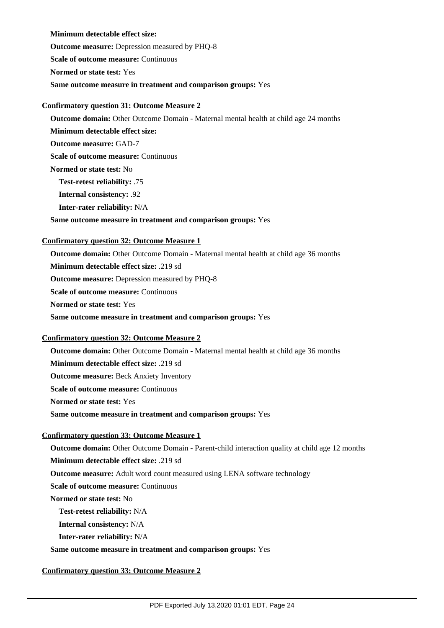**Minimum detectable effect size: Outcome measure:** Depression measured by PHQ-8 **Scale of outcome measure:** Continuous **Normed or state test:** Yes **Same outcome measure in treatment and comparison groups:** Yes

## **Confirmatory question 31: Outcome Measure 2**

**Outcome domain:** Other Outcome Domain - Maternal mental health at child age 24 months **Minimum detectable effect size: Outcome measure:** GAD-7

**Scale of outcome measure:** Continuous

**Normed or state test:** No

**Test-retest reliability:** .75

**Internal consistency:** .92

**Inter-rater reliability:** N/A

## **Same outcome measure in treatment and comparison groups:** Yes

## **Confirmatory question 32: Outcome Measure 1**

**Outcome domain:** Other Outcome Domain - Maternal mental health at child age 36 months **Minimum detectable effect size:** .219 sd **Outcome measure:** Depression measured by PHQ-8 **Scale of outcome measure: Continuous Normed or state test:** Yes **Same outcome measure in treatment and comparison groups:** Yes

## **Confirmatory question 32: Outcome Measure 2**

**Outcome domain:** Other Outcome Domain - Maternal mental health at child age 36 months **Minimum detectable effect size:** .219 sd **Outcome measure:** Beck Anxiety Inventory **Scale of outcome measure: Continuous Normed or state test:** Yes **Same outcome measure in treatment and comparison groups:** Yes

## **Confirmatory question 33: Outcome Measure 1**

**Outcome domain:** Other Outcome Domain - Parent-child interaction quality at child age 12 months **Minimum detectable effect size:** .219 sd **Outcome measure:** Adult word count measured using LENA software technology **Scale of outcome measure: Continuous Normed or state test:** No **Test-retest reliability:** N/A **Internal consistency:** N/A **Inter-rater reliability:** N/A

**Same outcome measure in treatment and comparison groups:** Yes

## **Confirmatory question 33: Outcome Measure 2**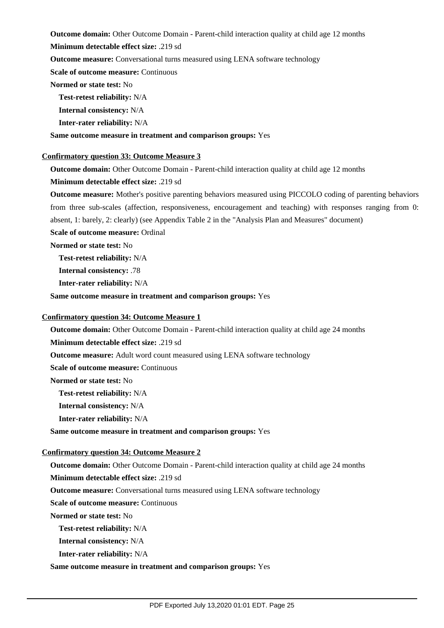**Outcome domain:** Other Outcome Domain - Parent-child interaction quality at child age 12 months

**Minimum detectable effect size:** .219 sd

**Outcome measure:** Conversational turns measured using LENA software technology

**Scale of outcome measure: Continuous** 

**Normed or state test:** No

**Test-retest reliability:** N/A

**Internal consistency:** N/A

**Inter-rater reliability:** N/A

**Same outcome measure in treatment and comparison groups:** Yes

#### **Confirmatory question 33: Outcome Measure 3**

**Outcome domain:** Other Outcome Domain - Parent-child interaction quality at child age 12 months

#### **Minimum detectable effect size:** .219 sd

**Outcome measure:** Mother's positive parenting behaviors measured using PICCOLO coding of parenting behaviors from three sub-scales (affection, responsiveness, encouragement and teaching) with responses ranging from 0: absent, 1: barely, 2: clearly) (see Appendix Table 2 in the "Analysis Plan and Measures" document)

**Scale of outcome measure:** Ordinal

**Normed or state test:** No

**Test-retest reliability:** N/A

**Internal consistency:** .78

**Inter-rater reliability:** N/A

**Same outcome measure in treatment and comparison groups:** Yes

#### **Confirmatory question 34: Outcome Measure 1**

**Outcome domain:** Other Outcome Domain - Parent-child interaction quality at child age 24 months

**Minimum detectable effect size:** .219 sd

**Outcome measure:** Adult word count measured using LENA software technology

**Scale of outcome measure: Continuous** 

**Normed or state test:** No

**Test-retest reliability:** N/A

**Internal consistency:** N/A

**Inter-rater reliability:** N/A

**Same outcome measure in treatment and comparison groups:** Yes

## **Confirmatory question 34: Outcome Measure 2**

**Outcome domain:** Other Outcome Domain - Parent-child interaction quality at child age 24 months

**Minimum detectable effect size:** .219 sd

**Outcome measure:** Conversational turns measured using LENA software technology

**Scale of outcome measure:** Continuous

**Normed or state test:** No

**Test-retest reliability:** N/A

**Internal consistency:** N/A

**Inter-rater reliability:** N/A

**Same outcome measure in treatment and comparison groups:** Yes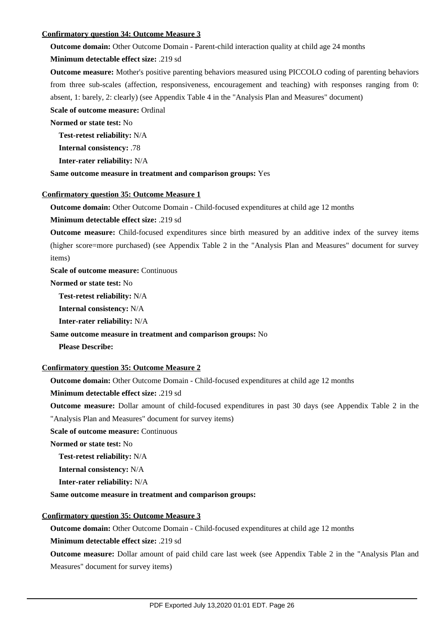## **Confirmatory question 34: Outcome Measure 3**

**Outcome domain:** Other Outcome Domain - Parent-child interaction quality at child age 24 months

**Minimum detectable effect size:** .219 sd

**Outcome measure:** Mother's positive parenting behaviors measured using PICCOLO coding of parenting behaviors from three sub-scales (affection, responsiveness, encouragement and teaching) with responses ranging from 0: absent, 1: barely, 2: clearly) (see Appendix Table 4 in the "Analysis Plan and Measures" document) **Scale of outcome measure:** Ordinal

**Normed or state test:** No

**Test-retest reliability:** N/A

**Internal consistency:** .78

**Inter-rater reliability:** N/A

**Same outcome measure in treatment and comparison groups:** Yes

#### **Confirmatory question 35: Outcome Measure 1**

**Outcome domain:** Other Outcome Domain - Child-focused expenditures at child age 12 months

**Minimum detectable effect size:** .219 sd

**Outcome measure:** Child-focused expenditures since birth measured by an additive index of the survey items (higher score=more purchased) (see Appendix Table 2 in the "Analysis Plan and Measures" document for survey items)

**Scale of outcome measure: Continuous** 

**Normed or state test:** No

**Test-retest reliability:** N/A

**Internal consistency:** N/A

**Inter-rater reliability:** N/A

#### **Same outcome measure in treatment and comparison groups:** No

**Please Describe:** 

## **Confirmatory question 35: Outcome Measure 2**

**Outcome domain:** Other Outcome Domain - Child-focused expenditures at child age 12 months

**Minimum detectable effect size:** .219 sd

**Outcome measure:** Dollar amount of child-focused expenditures in past 30 days (see Appendix Table 2 in the "Analysis Plan and Measures" document for survey items)

**Scale of outcome measure:** Continuous

**Normed or state test:** No

**Test-retest reliability:** N/A

**Internal consistency:** N/A

**Inter-rater reliability:** N/A

**Same outcome measure in treatment and comparison groups:**

## **Confirmatory question 35: Outcome Measure 3**

**Outcome domain:** Other Outcome Domain - Child-focused expenditures at child age 12 months

**Minimum detectable effect size:** .219 sd

**Outcome measure:** Dollar amount of paid child care last week (see Appendix Table 2 in the "Analysis Plan and Measures" document for survey items)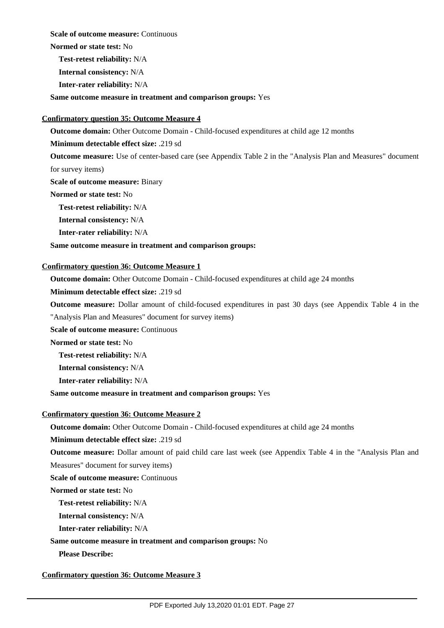**Scale of outcome measure: Continuous** 

**Normed or state test:** No

**Test-retest reliability:** N/A

**Internal consistency:** N/A

**Inter-rater reliability:** N/A

**Same outcome measure in treatment and comparison groups:** Yes

## **Confirmatory question 35: Outcome Measure 4**

**Outcome domain:** Other Outcome Domain - Child-focused expenditures at child age 12 months

**Minimum detectable effect size:** .219 sd

**Outcome measure:** Use of center-based care (see Appendix Table 2 in the "Analysis Plan and Measures" document for survey items)

**Scale of outcome measure:** Binary

**Normed or state test:** No

**Test-retest reliability:** N/A

**Internal consistency:** N/A

**Inter-rater reliability:** N/A

## **Same outcome measure in treatment and comparison groups:**

## **Confirmatory question 36: Outcome Measure 1**

**Outcome domain:** Other Outcome Domain - Child-focused expenditures at child age 24 months

**Minimum detectable effect size:** .219 sd

**Outcome measure:** Dollar amount of child-focused expenditures in past 30 days (see Appendix Table 4 in the

"Analysis Plan and Measures" document for survey items)

**Scale of outcome measure: Continuous** 

**Normed or state test:** No

**Test-retest reliability:** N/A

**Internal consistency:** N/A

**Inter-rater reliability:** N/A

**Same outcome measure in treatment and comparison groups:** Yes

## **Confirmatory question 36: Outcome Measure 2**

**Outcome domain:** Other Outcome Domain - Child-focused expenditures at child age 24 months

**Minimum detectable effect size:** .219 sd

**Outcome measure:** Dollar amount of paid child care last week (see Appendix Table 4 in the "Analysis Plan and Measures" document for survey items)

**Scale of outcome measure:** Continuous

**Normed or state test:** No

**Test-retest reliability:** N/A

**Internal consistency:** N/A

**Inter-rater reliability:** N/A

## **Same outcome measure in treatment and comparison groups:** No

**Please Describe:** 

**Confirmatory question 36: Outcome Measure 3**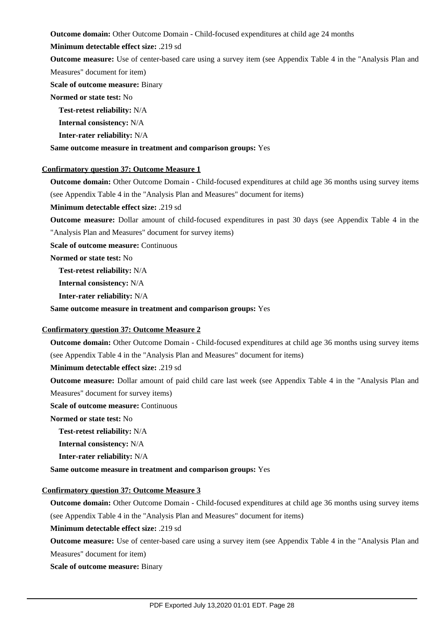**Outcome domain:** Other Outcome Domain - Child-focused expenditures at child age 24 months

**Minimum detectable effect size:** .219 sd

**Outcome measure:** Use of center-based care using a survey item (see Appendix Table 4 in the "Analysis Plan and Measures" document for item)

**Scale of outcome measure:** Binary

**Normed or state test:** No

**Test-retest reliability:** N/A

**Internal consistency:** N/A

**Inter-rater reliability:** N/A

**Same outcome measure in treatment and comparison groups:** Yes

## **Confirmatory question 37: Outcome Measure 1**

**Outcome domain:** Other Outcome Domain - Child-focused expenditures at child age 36 months using survey items (see Appendix Table 4 in the "Analysis Plan and Measures" document for items)

**Minimum detectable effect size:** .219 sd

**Outcome measure:** Dollar amount of child-focused expenditures in past 30 days (see Appendix Table 4 in the "Analysis Plan and Measures" document for survey items)

**Scale of outcome measure: Continuous** 

**Normed or state test:** No

**Test-retest reliability:** N/A

**Internal consistency:** N/A

**Inter-rater reliability:** N/A

**Same outcome measure in treatment and comparison groups:** Yes

## **Confirmatory question 37: Outcome Measure 2**

**Outcome domain:** Other Outcome Domain - Child-focused expenditures at child age 36 months using survey items (see Appendix Table 4 in the "Analysis Plan and Measures" document for items)

**Minimum detectable effect size:** .219 sd

**Outcome measure:** Dollar amount of paid child care last week (see Appendix Table 4 in the "Analysis Plan and Measures" document for survey items)

**Scale of outcome measure: Continuous** 

**Normed or state test:** No

**Test-retest reliability:** N/A

**Internal consistency:** N/A

**Inter-rater reliability:** N/A

**Same outcome measure in treatment and comparison groups:** Yes

## **Confirmatory question 37: Outcome Measure 3**

**Outcome domain:** Other Outcome Domain - Child-focused expenditures at child age 36 months using survey items (see Appendix Table 4 in the "Analysis Plan and Measures" document for items)

**Minimum detectable effect size:** .219 sd

**Outcome measure:** Use of center-based care using a survey item (see Appendix Table 4 in the "Analysis Plan and Measures" document for item)

**Scale of outcome measure:** Binary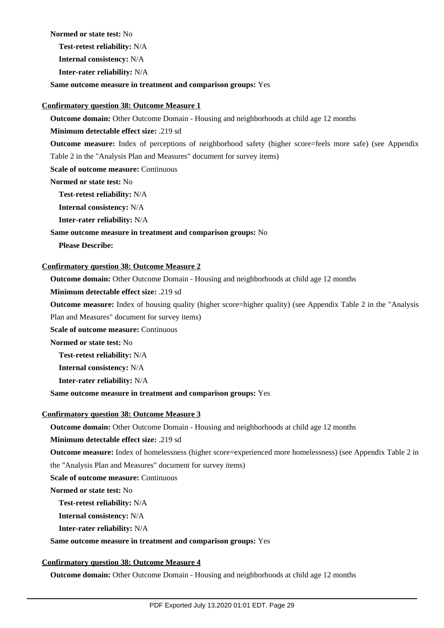**Normed or state test:** No

**Test-retest reliability:** N/A

**Internal consistency:** N/A

**Inter-rater reliability:** N/A

**Same outcome measure in treatment and comparison groups:** Yes

#### **Confirmatory question 38: Outcome Measure 1**

**Outcome domain:** Other Outcome Domain - Housing and neighborhoods at child age 12 months

**Minimum detectable effect size:** .219 sd

**Outcome measure:** Index of perceptions of neighborhood safety (higher score=feels more safe) (see Appendix

Table 2 in the "Analysis Plan and Measures" document for survey items)

**Scale of outcome measure: Continuous** 

**Normed or state test:** No

**Test-retest reliability:** N/A

**Internal consistency:** N/A

**Inter-rater reliability:** N/A

## **Same outcome measure in treatment and comparison groups:** No

**Please Describe:** 

## **Confirmatory question 38: Outcome Measure 2**

**Outcome domain:** Other Outcome Domain - Housing and neighborhoods at child age 12 months

**Minimum detectable effect size:** .219 sd

**Outcome measure:** Index of housing quality (higher score=higher quality) (see Appendix Table 2 in the "Analysis

Plan and Measures" document for survey items)

**Scale of outcome measure: Continuous** 

**Normed or state test:** No

**Test-retest reliability:** N/A

**Internal consistency:** N/A

**Inter-rater reliability:** N/A

**Same outcome measure in treatment and comparison groups:** Yes

## **Confirmatory question 38: Outcome Measure 3**

**Outcome domain:** Other Outcome Domain - Housing and neighborhoods at child age 12 months

**Minimum detectable effect size:** .219 sd

**Outcome measure:** Index of homelessness (higher score=experienced more homelessness) (see Appendix Table 2 in

the "Analysis Plan and Measures" document for survey items)

**Scale of outcome measure:** Continuous

**Normed or state test:** No

**Test-retest reliability:** N/A

**Internal consistency:** N/A

**Inter-rater reliability:** N/A

**Same outcome measure in treatment and comparison groups:** Yes

## **Confirmatory question 38: Outcome Measure 4**

**Outcome domain:** Other Outcome Domain - Housing and neighborhoods at child age 12 months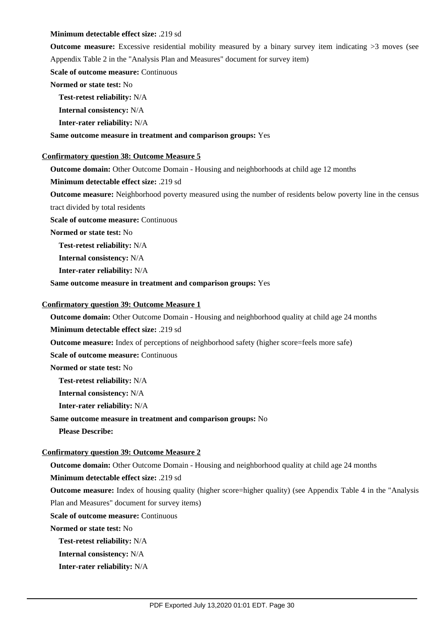#### **Minimum detectable effect size:** .219 sd

**Outcome measure:** Excessive residential mobility measured by a binary survey item indicating >3 moves (see Appendix Table 2 in the "Analysis Plan and Measures" document for survey item)

**Scale of outcome measure: Continuous** 

#### **Normed or state test:** No

**Test-retest reliability:** N/A

**Internal consistency:** N/A

**Inter-rater reliability:** N/A

### **Same outcome measure in treatment and comparison groups:** Yes

#### **Confirmatory question 38: Outcome Measure 5**

**Outcome domain:** Other Outcome Domain - Housing and neighborhoods at child age 12 months

**Minimum detectable effect size:** .219 sd

**Outcome measure:** Neighborhood poverty measured using the number of residents below poverty line in the census tract divided by total residents

**Scale of outcome measure: Continuous** 

**Normed or state test:** No

**Test-retest reliability:** N/A

**Internal consistency:** N/A

**Inter-rater reliability:** N/A

**Same outcome measure in treatment and comparison groups:** Yes

#### **Confirmatory question 39: Outcome Measure 1**

**Outcome domain:** Other Outcome Domain - Housing and neighborhood quality at child age 24 months

**Minimum detectable effect size:** .219 sd

**Outcome measure:** Index of perceptions of neighborhood safety (higher score=feels more safe)

**Scale of outcome measure:** Continuous

**Normed or state test:** No

**Test-retest reliability:** N/A

**Internal consistency:** N/A

**Inter-rater reliability:** N/A

## **Same outcome measure in treatment and comparison groups:** No

**Please Describe:** 

## **Confirmatory question 39: Outcome Measure 2**

**Outcome domain:** Other Outcome Domain - Housing and neighborhood quality at child age 24 months

**Minimum detectable effect size:** .219 sd

**Outcome measure:** Index of housing quality (higher score=higher quality) (see Appendix Table 4 in the "Analysis Plan and Measures" document for survey items)

**Scale of outcome measure: Continuous** 

**Normed or state test:** No

**Test-retest reliability:** N/A

**Internal consistency:** N/A

**Inter-rater reliability:** N/A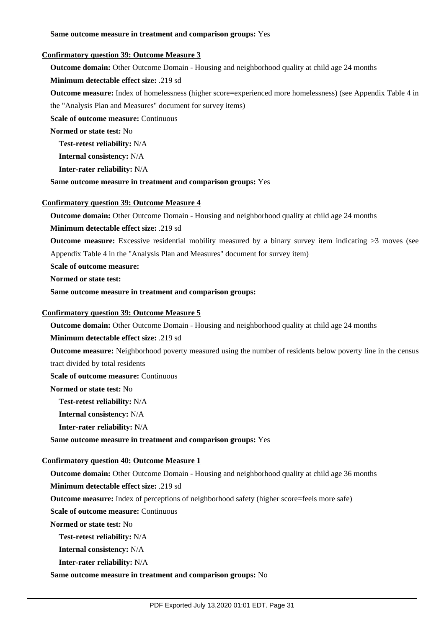#### **Same outcome measure in treatment and comparison groups:** Yes

#### **Confirmatory question 39: Outcome Measure 3**

**Outcome domain:** Other Outcome Domain - Housing and neighborhood quality at child age 24 months

**Minimum detectable effect size:** .219 sd

**Outcome measure:** Index of homelessness (higher score=experienced more homelessness) (see Appendix Table 4 in

the "Analysis Plan and Measures" document for survey items)

**Scale of outcome measure:** Continuous

**Normed or state test:** No

**Test-retest reliability:** N/A

**Internal consistency:** N/A

**Inter-rater reliability:** N/A

**Same outcome measure in treatment and comparison groups:** Yes

## **Confirmatory question 39: Outcome Measure 4**

**Outcome domain:** Other Outcome Domain - Housing and neighborhood quality at child age 24 months

**Minimum detectable effect size:** .219 sd

**Outcome measure:** Excessive residential mobility measured by a binary survey item indicating >3 moves (see Appendix Table 4 in the "Analysis Plan and Measures" document for survey item)

**Scale of outcome measure:**

**Normed or state test:**

**Same outcome measure in treatment and comparison groups:**

#### **Confirmatory question 39: Outcome Measure 5**

**Outcome domain:** Other Outcome Domain - Housing and neighborhood quality at child age 24 months

**Minimum detectable effect size:** .219 sd

**Outcome measure:** Neighborhood poverty measured using the number of residents below poverty line in the census

**Scale of outcome measure:** Continuous

**Normed or state test:** No

**Test-retest reliability:** N/A

tract divided by total residents

**Internal consistency:** N/A

**Inter-rater reliability:** N/A

**Same outcome measure in treatment and comparison groups:** Yes

## **Confirmatory question 40: Outcome Measure 1**

**Outcome domain:** Other Outcome Domain - Housing and neighborhood quality at child age 36 months

**Minimum detectable effect size:** .219 sd

**Outcome measure:** Index of perceptions of neighborhood safety (higher score=feels more safe)

**Scale of outcome measure: Continuous** 

**Normed or state test:** No

**Test-retest reliability:** N/A

**Internal consistency:** N/A

**Inter-rater reliability:** N/A

**Same outcome measure in treatment and comparison groups:** No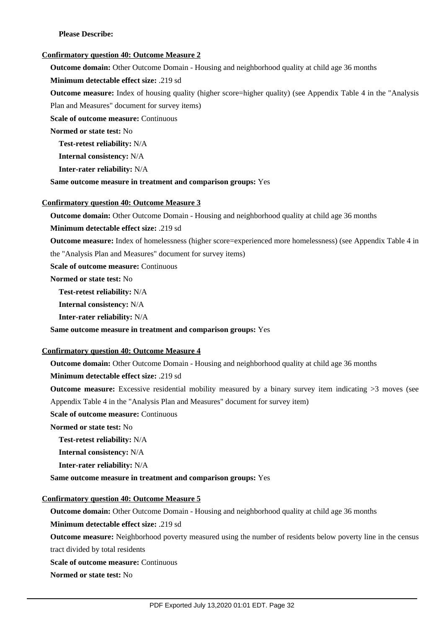## **Please Describe:**

#### **Confirmatory question 40: Outcome Measure 2**

**Outcome domain:** Other Outcome Domain - Housing and neighborhood quality at child age 36 months

**Minimum detectable effect size:** .219 sd

**Outcome measure:** Index of housing quality (higher score=higher quality) (see Appendix Table 4 in the "Analysis Plan and Measures" document for survey items)

**Scale of outcome measure:** Continuous

**Normed or state test:** No

**Test-retest reliability:** N/A

**Internal consistency:** N/A

**Inter-rater reliability:** N/A

**Same outcome measure in treatment and comparison groups:** Yes

#### **Confirmatory question 40: Outcome Measure 3**

**Outcome domain:** Other Outcome Domain - Housing and neighborhood quality at child age 36 months

**Minimum detectable effect size:** .219 sd

**Outcome measure:** Index of homelessness (higher score=experienced more homelessness) (see Appendix Table 4 in

the "Analysis Plan and Measures" document for survey items)

**Scale of outcome measure: Continuous** 

**Normed or state test:** No

**Test-retest reliability:** N/A

**Internal consistency:** N/A

**Inter-rater reliability:** N/A

**Same outcome measure in treatment and comparison groups:** Yes

#### **Confirmatory question 40: Outcome Measure 4**

**Outcome domain:** Other Outcome Domain - Housing and neighborhood quality at child age 36 months **Minimum detectable effect size:** .219 sd

**Outcome measure:** Excessive residential mobility measured by a binary survey item indicating  $>3$  moves (see Appendix Table 4 in the "Analysis Plan and Measures" document for survey item)

**Scale of outcome measure: Continuous** 

**Normed or state test:** No

**Test-retest reliability:** N/A

**Internal consistency:** N/A

**Inter-rater reliability:** N/A

**Same outcome measure in treatment and comparison groups:** Yes

## **Confirmatory question 40: Outcome Measure 5**

**Outcome domain:** Other Outcome Domain - Housing and neighborhood quality at child age 36 months

**Minimum detectable effect size:** .219 sd

**Outcome measure:** Neighborhood poverty measured using the number of residents below poverty line in the census tract divided by total residents

**Scale of outcome measure: Continuous** 

**Normed or state test:** No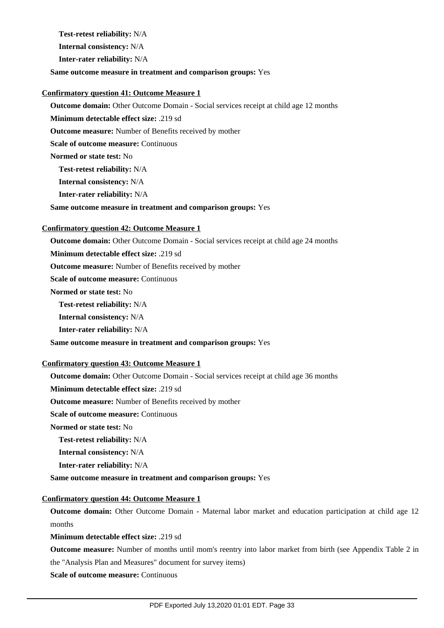**Test-retest reliability:** N/A

**Internal consistency:** N/A

**Inter-rater reliability:** N/A

## **Same outcome measure in treatment and comparison groups:** Yes

## **Confirmatory question 41: Outcome Measure 1**

**Outcome domain:** Other Outcome Domain - Social services receipt at child age 12 months

**Minimum detectable effect size:** .219 sd

**Outcome measure:** Number of Benefits received by mother

**Scale of outcome measure: Continuous** 

**Normed or state test:** No

**Test-retest reliability:** N/A

**Internal consistency:** N/A

**Inter-rater reliability:** N/A

**Same outcome measure in treatment and comparison groups:** Yes

## **Confirmatory question 42: Outcome Measure 1**

**Outcome domain:** Other Outcome Domain - Social services receipt at child age 24 months

**Minimum detectable effect size:** .219 sd

**Outcome measure:** Number of Benefits received by mother

**Scale of outcome measure: Continuous** 

**Normed or state test:** No

**Test-retest reliability:** N/A

**Internal consistency:** N/A

**Inter-rater reliability:** N/A

**Same outcome measure in treatment and comparison groups:** Yes

## **Confirmatory question 43: Outcome Measure 1**

**Outcome domain:** Other Outcome Domain - Social services receipt at child age 36 months

**Minimum detectable effect size:** .219 sd

**Outcome measure:** Number of Benefits received by mother

**Scale of outcome measure: Continuous** 

**Normed or state test:** No

**Test-retest reliability:** N/A

**Internal consistency:** N/A

**Inter-rater reliability:** N/A

**Same outcome measure in treatment and comparison groups:** Yes

## **Confirmatory question 44: Outcome Measure 1**

**Outcome domain:** Other Outcome Domain - Maternal labor market and education participation at child age 12 months

**Minimum detectable effect size:** .219 sd

**Outcome measure:** Number of months until mom's reentry into labor market from birth (see Appendix Table 2 in the "Analysis Plan and Measures" document for survey items)

**Scale of outcome measure:** Continuous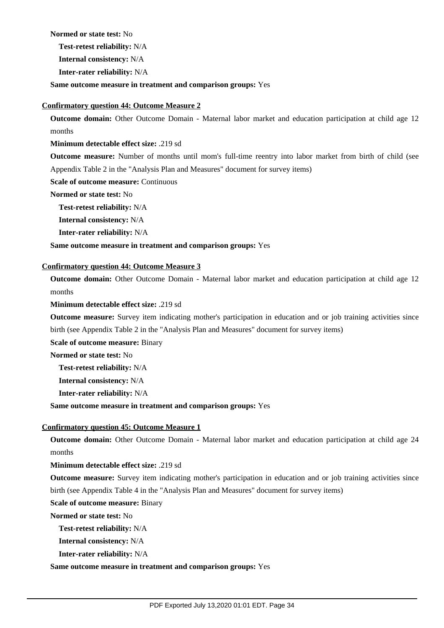**Normed or state test:** No

**Test-retest reliability:** N/A

**Internal consistency:** N/A

**Inter-rater reliability:** N/A

**Same outcome measure in treatment and comparison groups:** Yes

#### **Confirmatory question 44: Outcome Measure 2**

**Outcome domain:** Other Outcome Domain - Maternal labor market and education participation at child age 12 months

**Minimum detectable effect size:** .219 sd

**Outcome measure:** Number of months until mom's full-time reentry into labor market from birth of child (see Appendix Table 2 in the "Analysis Plan and Measures" document for survey items)

**Scale of outcome measure: Continuous** 

**Normed or state test:** No

**Test-retest reliability:** N/A

**Internal consistency:** N/A

**Inter-rater reliability:** N/A

**Same outcome measure in treatment and comparison groups:** Yes

### **Confirmatory question 44: Outcome Measure 3**

**Outcome domain:** Other Outcome Domain - Maternal labor market and education participation at child age 12 months

**Minimum detectable effect size:** .219 sd

**Outcome measure:** Survey item indicating mother's participation in education and or job training activities since birth (see Appendix Table 2 in the "Analysis Plan and Measures" document for survey items)

**Scale of outcome measure:** Binary

**Normed or state test:** No

**Test-retest reliability:** N/A

**Internal consistency:** N/A

**Inter-rater reliability:** N/A

**Same outcome measure in treatment and comparison groups:** Yes

#### **Confirmatory question 45: Outcome Measure 1**

**Outcome domain:** Other Outcome Domain - Maternal labor market and education participation at child age 24 months

**Minimum detectable effect size:** .219 sd

**Outcome measure:** Survey item indicating mother's participation in education and or job training activities since birth (see Appendix Table 4 in the "Analysis Plan and Measures" document for survey items)

**Scale of outcome measure:** Binary

**Normed or state test:** No

**Test-retest reliability:** N/A

**Internal consistency:** N/A

**Inter-rater reliability:** N/A

#### **Same outcome measure in treatment and comparison groups:** Yes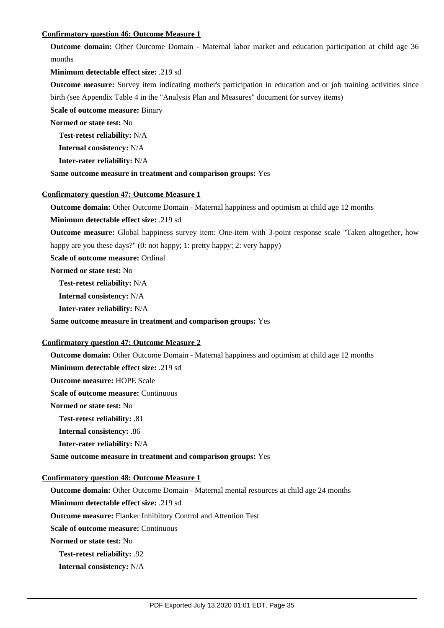## **Confirmatory question 46: Outcome Measure 1**

**Outcome domain:** Other Outcome Domain - Maternal labor market and education participation at child age 36 months

#### **Minimum detectable effect size:** .219 sd

**Outcome measure:** Survey item indicating mother's participation in education and or job training activities since birth (see Appendix Table 4 in the "Analysis Plan and Measures" document for survey items)

**Scale of outcome measure:** Binary

**Normed or state test:** No

**Test-retest reliability:** N/A

**Internal consistency:** N/A

**Inter-rater reliability:** N/A

**Same outcome measure in treatment and comparison groups:** Yes

#### **Confirmatory question 47: Outcome Measure 1**

**Outcome domain:** Other Outcome Domain - Maternal happiness and optimism at child age 12 months

**Minimum detectable effect size:** .219 sd

**Outcome measure:** Global happiness survey item: One-item with 3-point response scale "Taken altogether, how happy are you these days?" (0: not happy; 1: pretty happy; 2: very happy)

**Scale of outcome measure:** Ordinal

**Normed or state test:** No

**Test-retest reliability:** N/A

**Internal consistency:** N/A

**Inter-rater reliability:** N/A

#### **Same outcome measure in treatment and comparison groups:** Yes

## **Confirmatory question 47: Outcome Measure 2**

**Outcome domain:** Other Outcome Domain - Maternal happiness and optimism at child age 12 months **Minimum detectable effect size:** .219 sd

**Outcome measure:** HOPE Scale

**Scale of outcome measure: Continuous** 

**Normed or state test:** No

**Test-retest reliability:** .81

**Internal consistency:** .86

**Inter-rater reliability:** N/A

**Same outcome measure in treatment and comparison groups:** Yes

## **Confirmatory question 48: Outcome Measure 1**

**Outcome domain:** Other Outcome Domain - Maternal mental resources at child age 24 months

**Minimum detectable effect size:** .219 sd

**Outcome measure:** Flanker Inhibitory Control and Attention Test

**Scale of outcome measure: Continuous** 

**Normed or state test:** No

**Test-retest reliability:** .92

**Internal consistency:** N/A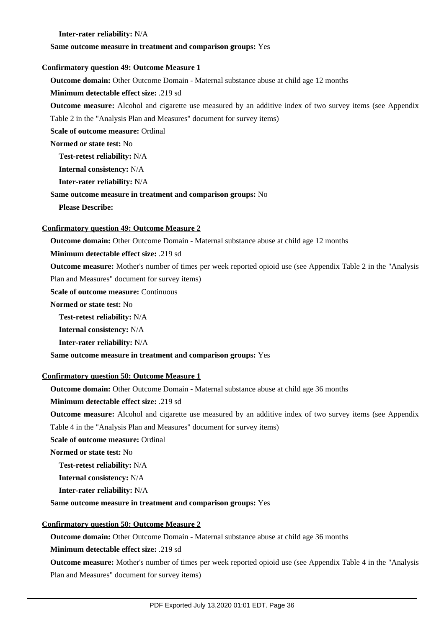**Inter-rater reliability:** N/A

#### **Same outcome measure in treatment and comparison groups:** Yes

#### **Confirmatory question 49: Outcome Measure 1**

**Outcome domain:** Other Outcome Domain - Maternal substance abuse at child age 12 months

#### **Minimum detectable effect size:** .219 sd

**Outcome measure:** Alcohol and cigarette use measured by an additive index of two survey items (see Appendix Table 2 in the "Analysis Plan and Measures" document for survey items)

**Scale of outcome measure:** Ordinal

**Normed or state test:** No

**Test-retest reliability:** N/A

**Internal consistency:** N/A

**Inter-rater reliability:** N/A

#### **Same outcome measure in treatment and comparison groups:** No

**Please Describe:** 

#### **Confirmatory question 49: Outcome Measure 2**

**Outcome domain:** Other Outcome Domain - Maternal substance abuse at child age 12 months

**Minimum detectable effect size:** .219 sd

**Outcome measure:** Mother's number of times per week reported opioid use (see Appendix Table 2 in the "Analysis

Plan and Measures" document for survey items)

**Scale of outcome measure: Continuous** 

**Normed or state test:** No

**Test-retest reliability:** N/A

**Internal consistency:** N/A

**Inter-rater reliability:** N/A

**Same outcome measure in treatment and comparison groups:** Yes

## **Confirmatory question 50: Outcome Measure 1**

**Outcome domain:** Other Outcome Domain - Maternal substance abuse at child age 36 months

**Minimum detectable effect size:** .219 sd

**Outcome measure:** Alcohol and cigarette use measured by an additive index of two survey items (see Appendix Table 4 in the "Analysis Plan and Measures" document for survey items)

**Scale of outcome measure:** Ordinal

**Normed or state test:** No

**Test-retest reliability:** N/A

**Internal consistency:** N/A

**Inter-rater reliability:** N/A

#### **Same outcome measure in treatment and comparison groups:** Yes

## **Confirmatory question 50: Outcome Measure 2**

**Outcome domain:** Other Outcome Domain - Maternal substance abuse at child age 36 months

**Minimum detectable effect size:** .219 sd

**Outcome measure:** Mother's number of times per week reported opioid use (see Appendix Table 4 in the "Analysis Plan and Measures" document for survey items)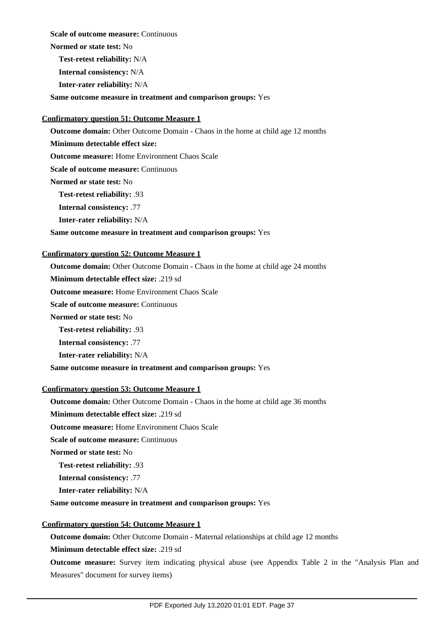**Scale of outcome measure: Continuous** 

**Normed or state test:** No

**Test-retest reliability:** N/A

**Internal consistency:** N/A

**Inter-rater reliability:** N/A

**Same outcome measure in treatment and comparison groups:** Yes

## **Confirmatory question 51: Outcome Measure 1**

**Outcome domain:** Other Outcome Domain - Chaos in the home at child age 12 months

**Minimum detectable effect size:**

**Outcome measure:** Home Environment Chaos Scale

**Scale of outcome measure: Continuous** 

**Normed or state test:** No

**Test-retest reliability:** .93

**Internal consistency:** .77

**Inter-rater reliability:** N/A

## **Same outcome measure in treatment and comparison groups:** Yes

## **Confirmatory question 52: Outcome Measure 1**

**Outcome domain:** Other Outcome Domain - Chaos in the home at child age 24 months

**Minimum detectable effect size:** .219 sd

**Outcome measure:** Home Environment Chaos Scale

**Scale of outcome measure:** Continuous

**Normed or state test:** No

**Test-retest reliability:** .93

**Internal consistency:** .77

**Inter-rater reliability:** N/A

**Same outcome measure in treatment and comparison groups:** Yes

## **Confirmatory question 53: Outcome Measure 1**

**Outcome domain:** Other Outcome Domain - Chaos in the home at child age 36 months

**Minimum detectable effect size:** .219 sd

**Outcome measure:** Home Environment Chaos Scale

**Scale of outcome measure: Continuous** 

**Normed or state test:** No

**Test-retest reliability:** .93

**Internal consistency:** .77

**Inter-rater reliability:** N/A

## **Same outcome measure in treatment and comparison groups:** Yes

## **Confirmatory question 54: Outcome Measure 1**

**Outcome domain:** Other Outcome Domain - Maternal relationships at child age 12 months

**Minimum detectable effect size:** .219 sd

**Outcome measure:** Survey item indicating physical abuse (see Appendix Table 2 in the "Analysis Plan and Measures" document for survey items)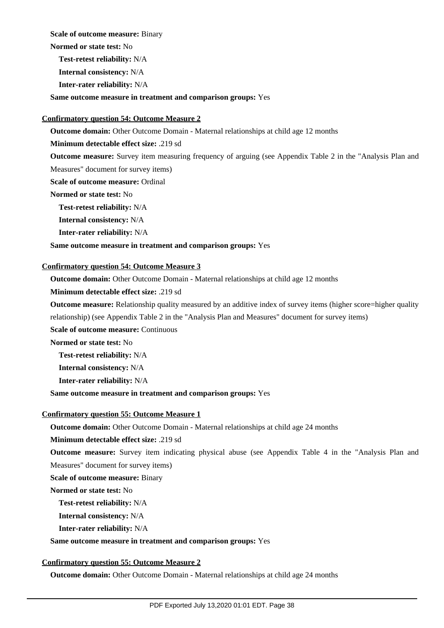**Scale of outcome measure:** Binary

**Normed or state test:** No

**Test-retest reliability:** N/A

**Internal consistency:** N/A

**Inter-rater reliability:** N/A

**Same outcome measure in treatment and comparison groups:** Yes

## **Confirmatory question 54: Outcome Measure 2**

**Outcome domain:** Other Outcome Domain - Maternal relationships at child age 12 months

**Minimum detectable effect size:** .219 sd

**Outcome measure:** Survey item measuring frequency of arguing (see Appendix Table 2 in the "Analysis Plan and

Measures" document for survey items)

**Scale of outcome measure:** Ordinal

**Normed or state test:** No

**Test-retest reliability:** N/A

**Internal consistency:** N/A

**Inter-rater reliability:** N/A

#### **Same outcome measure in treatment and comparison groups:** Yes

## **Confirmatory question 54: Outcome Measure 3**

**Outcome domain:** Other Outcome Domain - Maternal relationships at child age 12 months

### **Minimum detectable effect size:** .219 sd

**Outcome measure:** Relationship quality measured by an additive index of survey items (higher score=higher quality

relationship) (see Appendix Table 2 in the "Analysis Plan and Measures" document for survey items)

**Scale of outcome measure: Continuous** 

**Normed or state test:** No

**Test-retest reliability:** N/A

**Internal consistency:** N/A

**Inter-rater reliability:** N/A

**Same outcome measure in treatment and comparison groups:** Yes

## **Confirmatory question 55: Outcome Measure 1**

**Outcome domain:** Other Outcome Domain - Maternal relationships at child age 24 months

**Minimum detectable effect size:** .219 sd

**Outcome measure:** Survey item indicating physical abuse (see Appendix Table 4 in the "Analysis Plan and Measures" document for survey items)

**Scale of outcome measure:** Binary

**Normed or state test:** No

**Test-retest reliability:** N/A

**Internal consistency:** N/A

**Inter-rater reliability:** N/A

## **Same outcome measure in treatment and comparison groups:** Yes

## **Confirmatory question 55: Outcome Measure 2**

**Outcome domain:** Other Outcome Domain - Maternal relationships at child age 24 months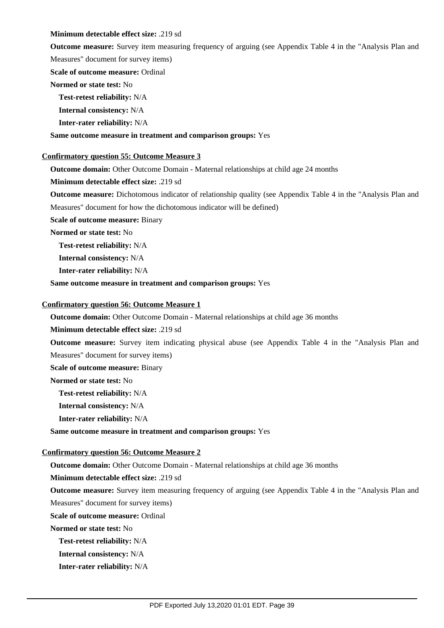#### **Minimum detectable effect size:** .219 sd

**Outcome measure:** Survey item measuring frequency of arguing (see Appendix Table 4 in the "Analysis Plan and

Measures" document for survey items)

**Scale of outcome measure:** Ordinal

**Normed or state test:** No

**Test-retest reliability:** N/A

**Internal consistency:** N/A

**Inter-rater reliability:** N/A

**Same outcome measure in treatment and comparison groups:** Yes

## **Confirmatory question 55: Outcome Measure 3**

**Outcome domain:** Other Outcome Domain - Maternal relationships at child age 24 months

**Minimum detectable effect size:** .219 sd

**Outcome measure:** Dichotomous indicator of relationship quality (see Appendix Table 4 in the "Analysis Plan and Measures" document for how the dichotomous indicator will be defined)

**Scale of outcome measure:** Binary

**Normed or state test:** No

**Test-retest reliability:** N/A

**Internal consistency:** N/A

**Inter-rater reliability:** N/A

**Same outcome measure in treatment and comparison groups:** Yes

#### **Confirmatory question 56: Outcome Measure 1**

**Outcome domain:** Other Outcome Domain - Maternal relationships at child age 36 months

**Minimum detectable effect size:** .219 sd

**Outcome measure:** Survey item indicating physical abuse (see Appendix Table 4 in the "Analysis Plan and Measures" document for survey items)

**Scale of outcome measure:** Binary

**Normed or state test:** No

**Test-retest reliability:** N/A

**Internal consistency:** N/A

**Inter-rater reliability:** N/A

**Same outcome measure in treatment and comparison groups:** Yes

## **Confirmatory question 56: Outcome Measure 2**

**Outcome domain:** Other Outcome Domain - Maternal relationships at child age 36 months

**Minimum detectable effect size:** .219 sd

**Outcome measure:** Survey item measuring frequency of arguing (see Appendix Table 4 in the "Analysis Plan and Measures" document for survey items)

**Scale of outcome measure:** Ordinal

**Normed or state test:** No

**Test-retest reliability:** N/A

**Internal consistency:** N/A

**Inter-rater reliability:** N/A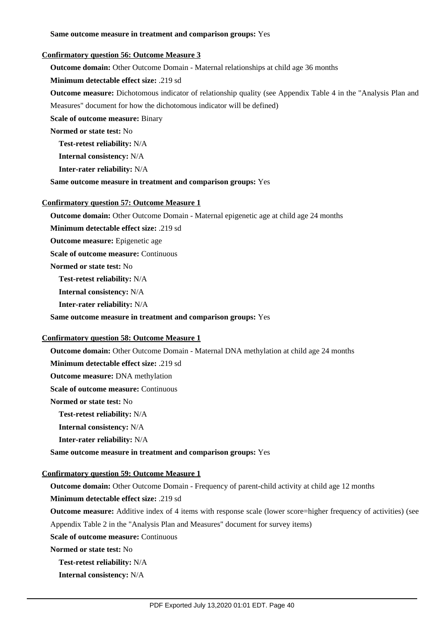#### **Same outcome measure in treatment and comparison groups:** Yes

#### **Confirmatory question 56: Outcome Measure 3**

**Outcome domain:** Other Outcome Domain - Maternal relationships at child age 36 months

**Minimum detectable effect size:** .219 sd

**Outcome measure:** Dichotomous indicator of relationship quality (see Appendix Table 4 in the "Analysis Plan and Measures" document for how the dichotomous indicator will be defined)

**Scale of outcome measure:** Binary

**Normed or state test:** No

**Test-retest reliability:** N/A

**Internal consistency:** N/A

**Inter-rater reliability:** N/A

**Same outcome measure in treatment and comparison groups:** Yes

## **Confirmatory question 57: Outcome Measure 1**

**Outcome domain:** Other Outcome Domain - Maternal epigenetic age at child age 24 months

**Minimum detectable effect size:** .219 sd

**Outcome measure:** Epigenetic age

**Scale of outcome measure: Continuous** 

**Normed or state test:** No

**Test-retest reliability:** N/A

**Internal consistency:** N/A

**Inter-rater reliability:** N/A

**Same outcome measure in treatment and comparison groups:** Yes

## **Confirmatory question 58: Outcome Measure 1**

**Outcome domain:** Other Outcome Domain - Maternal DNA methylation at child age 24 months

**Minimum detectable effect size:** .219 sd

**Outcome measure:** DNA methylation

**Scale of outcome measure: Continuous** 

**Normed or state test:** No

**Test-retest reliability:** N/A

**Internal consistency:** N/A

**Inter-rater reliability:** N/A

**Same outcome measure in treatment and comparison groups:** Yes

## **Confirmatory question 59: Outcome Measure 1**

**Outcome domain:** Other Outcome Domain - Frequency of parent-child activity at child age 12 months

**Minimum detectable effect size:** .219 sd

**Outcome measure:** Additive index of 4 items with response scale (lower score=higher frequency of activities) (see Appendix Table 2 in the "Analysis Plan and Measures" document for survey items)

**Scale of outcome measure: Continuous** 

**Normed or state test:** No

**Test-retest reliability:** N/A

**Internal consistency:** N/A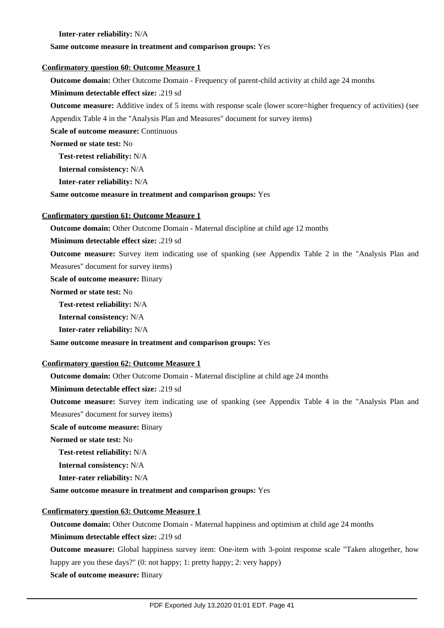#### **Inter-rater reliability:** N/A

#### **Same outcome measure in treatment and comparison groups:** Yes

#### **Confirmatory question 60: Outcome Measure 1**

**Outcome domain:** Other Outcome Domain - Frequency of parent-child activity at child age 24 months

#### **Minimum detectable effect size:** .219 sd

**Outcome measure:** Additive index of 5 items with response scale (lower score=higher frequency of activities) (see Appendix Table 4 in the "Analysis Plan and Measures" document for survey items)

**Scale of outcome measure: Continuous** 

**Normed or state test:** No

**Test-retest reliability:** N/A

**Internal consistency:** N/A

**Inter-rater reliability:** N/A

**Same outcome measure in treatment and comparison groups:** Yes

#### **Confirmatory question 61: Outcome Measure 1**

**Outcome domain:** Other Outcome Domain - Maternal discipline at child age 12 months

**Minimum detectable effect size:** .219 sd

**Outcome measure:** Survey item indicating use of spanking (see Appendix Table 2 in the "Analysis Plan and Measures" document for survey items)

**Scale of outcome measure:** Binary

**Normed or state test:** No

**Test-retest reliability:** N/A

**Internal consistency:** N/A

**Inter-rater reliability:** N/A

**Same outcome measure in treatment and comparison groups:** Yes

#### **Confirmatory question 62: Outcome Measure 1**

**Outcome domain:** Other Outcome Domain - Maternal discipline at child age 24 months

**Minimum detectable effect size:** .219 sd

**Outcome measure:** Survey item indicating use of spanking (see Appendix Table 4 in the "Analysis Plan and

Measures" document for survey items)

**Scale of outcome measure:** Binary

**Normed or state test:** No

**Test-retest reliability:** N/A

**Internal consistency:** N/A

**Inter-rater reliability:** N/A

**Same outcome measure in treatment and comparison groups:** Yes

## **Confirmatory question 63: Outcome Measure 1**

**Outcome domain:** Other Outcome Domain - Maternal happiness and optimism at child age 24 months

**Minimum detectable effect size:** .219 sd

**Outcome measure:** Global happiness survey item: One-item with 3-point response scale "Taken altogether, how happy are you these days?" (0: not happy; 1: pretty happy; 2: very happy)

**Scale of outcome measure:** Binary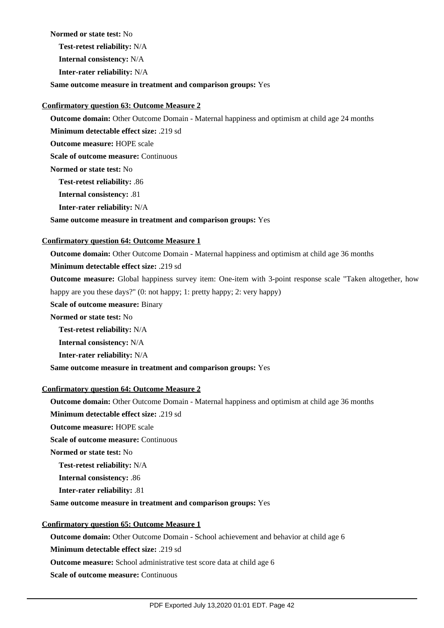#### **Normed or state test:** No

**Test-retest reliability:** N/A

**Internal consistency:** N/A

**Inter-rater reliability:** N/A

**Same outcome measure in treatment and comparison groups:** Yes

## **Confirmatory question 63: Outcome Measure 2**

**Outcome domain:** Other Outcome Domain - Maternal happiness and optimism at child age 24 months

**Minimum detectable effect size:** .219 sd

**Outcome measure:** HOPE scale

**Scale of outcome measure: Continuous** 

**Normed or state test:** No

**Test-retest reliability:** .86

**Internal consistency:** .81

**Inter-rater reliability:** N/A

## **Same outcome measure in treatment and comparison groups:** Yes

## **Confirmatory question 64: Outcome Measure 1**

**Outcome domain:** Other Outcome Domain - Maternal happiness and optimism at child age 36 months

## **Minimum detectable effect size:** .219 sd

**Outcome measure:** Global happiness survey item: One-item with 3-point response scale "Taken altogether, how happy are you these days?" (0: not happy; 1: pretty happy; 2: very happy)

**Scale of outcome measure:** Binary

**Normed or state test:** No

**Test-retest reliability:** N/A

**Internal consistency:** N/A

**Inter-rater reliability:** N/A

**Same outcome measure in treatment and comparison groups:** Yes

## **Confirmatory question 64: Outcome Measure 2**

**Outcome domain:** Other Outcome Domain - Maternal happiness and optimism at child age 36 months

**Minimum detectable effect size:** .219 sd

**Outcome measure:** HOPE scale

**Scale of outcome measure: Continuous** 

**Normed or state test:** No

**Test-retest reliability:** N/A

**Internal consistency:** .86

**Inter-rater reliability:** .81

## **Same outcome measure in treatment and comparison groups:** Yes

## **Confirmatory question 65: Outcome Measure 1**

**Outcome domain:** Other Outcome Domain - School achievement and behavior at child age 6

**Minimum detectable effect size:** .219 sd

**Outcome measure:** School administrative test score data at child age 6

**Scale of outcome measure:** Continuous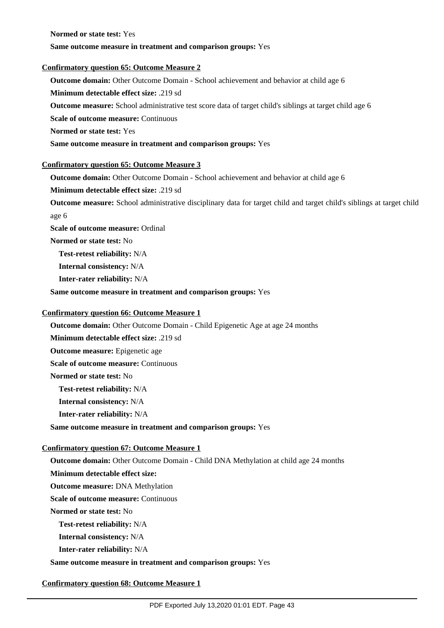**Normed or state test:** Yes

## **Same outcome measure in treatment and comparison groups:** Yes

## **Confirmatory question 65: Outcome Measure 2**

**Outcome domain:** Other Outcome Domain - School achievement and behavior at child age 6

**Minimum detectable effect size:** .219 sd

**Outcome measure:** School administrative test score data of target child's siblings at target child age 6

**Scale of outcome measure: Continuous** 

**Normed or state test:** Yes

**Same outcome measure in treatment and comparison groups:** Yes

#### **Confirmatory question 65: Outcome Measure 3**

**Outcome domain:** Other Outcome Domain - School achievement and behavior at child age 6

**Minimum detectable effect size:** .219 sd

**Outcome measure:** School administrative disciplinary data for target child and target child's siblings at target child age 6

**Scale of outcome measure:** Ordinal

**Normed or state test:** No

**Test-retest reliability:** N/A

**Internal consistency:** N/A

**Inter-rater reliability:** N/A

**Same outcome measure in treatment and comparison groups:** Yes

## **Confirmatory question 66: Outcome Measure 1**

**Outcome domain:** Other Outcome Domain - Child Epigenetic Age at age 24 months

**Minimum detectable effect size:** .219 sd

**Outcome measure:** Epigenetic age

**Scale of outcome measure:** Continuous

**Normed or state test:** No

**Test-retest reliability:** N/A

**Internal consistency:** N/A

**Inter-rater reliability:** N/A

**Same outcome measure in treatment and comparison groups:** Yes

## **Confirmatory question 67: Outcome Measure 1**

**Outcome domain:** Other Outcome Domain - Child DNA Methylation at child age 24 months **Minimum detectable effect size: Outcome measure:** DNA Methylation **Scale of outcome measure:** Continuous **Normed or state test:** No **Test-retest reliability:** N/A **Internal consistency:** N/A **Inter-rater reliability:** N/A

**Same outcome measure in treatment and comparison groups:** Yes

## **Confirmatory question 68: Outcome Measure 1**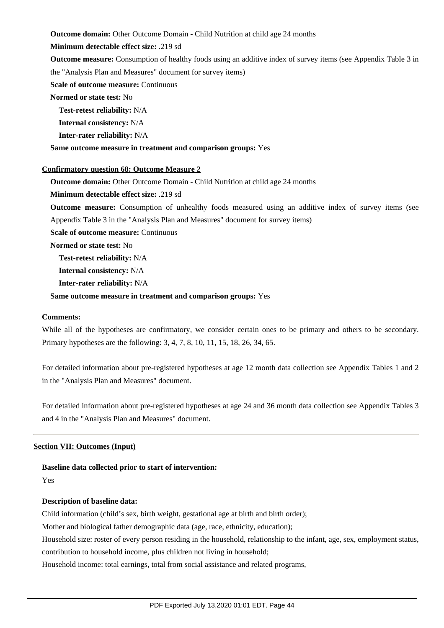**Outcome domain:** Other Outcome Domain - Child Nutrition at child age 24 months

#### **Minimum detectable effect size:** .219 sd

**Outcome measure:** Consumption of healthy foods using an additive index of survey items (see Appendix Table 3 in the "Analysis Plan and Measures" document for survey items)

### **Scale of outcome measure: Continuous**

## **Normed or state test:** No

**Test-retest reliability:** N/A

**Internal consistency:** N/A

**Inter-rater reliability:** N/A

**Same outcome measure in treatment and comparison groups:** Yes

## **Confirmatory question 68: Outcome Measure 2**

**Outcome domain:** Other Outcome Domain - Child Nutrition at child age 24 months

**Minimum detectable effect size:** .219 sd

**Outcome measure:** Consumption of unhealthy foods measured using an additive index of survey items (see Appendix Table 3 in the "Analysis Plan and Measures" document for survey items)

**Scale of outcome measure: Continuous** 

**Normed or state test:** No

**Test-retest reliability:** N/A

**Internal consistency:** N/A

**Inter-rater reliability:** N/A

#### **Same outcome measure in treatment and comparison groups:** Yes

#### **Comments:**

While all of the hypotheses are confirmatory, we consider certain ones to be primary and others to be secondary. Primary hypotheses are the following: 3, 4, 7, 8, 10, 11, 15, 18, 26, 34, 65.

For detailed information about pre-registered hypotheses at age 12 month data collection see Appendix Tables 1 and 2 in the "Analysis Plan and Measures" document.

For detailed information about pre-registered hypotheses at age 24 and 36 month data collection see Appendix Tables 3 and 4 in the "Analysis Plan and Measures" document.

## **Section VII: Outcomes (Input)**

## **Baseline data collected prior to start of intervention:**

Yes

## **Description of baseline data:**

Child information (child's sex, birth weight, gestational age at birth and birth order);

Mother and biological father demographic data (age, race, ethnicity, education);

Household size: roster of every person residing in the household, relationship to the infant, age, sex, employment status,

contribution to household income, plus children not living in household;

Household income: total earnings, total from social assistance and related programs,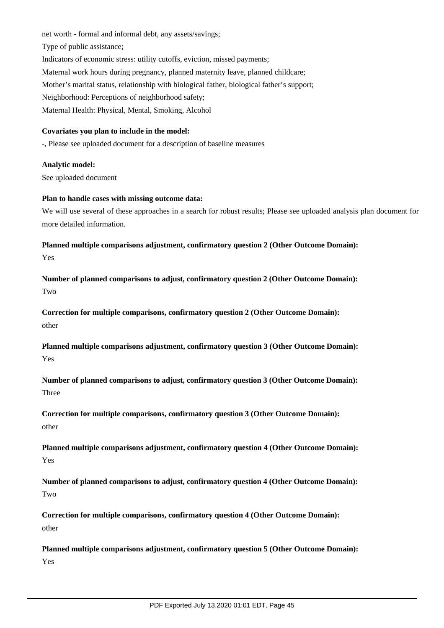net worth - formal and informal debt, any assets/savings; Type of public assistance; Indicators of economic stress: utility cutoffs, eviction, missed payments; Maternal work hours during pregnancy, planned maternity leave, planned childcare; Mother's marital status, relationship with biological father, biological father's support; Neighborhood: Perceptions of neighborhood safety; Maternal Health: Physical, Mental, Smoking, Alcohol

## **Covariates you plan to include in the model:**

-, Please see uploaded document for a description of baseline measures

## **Analytic model:**

See uploaded document

#### **Plan to handle cases with missing outcome data:**

We will use several of these approaches in a search for robust results; Please see uploaded analysis plan document for more detailed information.

**Planned multiple comparisons adjustment, confirmatory question 2 (Other Outcome Domain):** Yes

**Number of planned comparisons to adjust, confirmatory question 2 (Other Outcome Domain):** Two

**Correction for multiple comparisons, confirmatory question 2 (Other Outcome Domain):** other

**Planned multiple comparisons adjustment, confirmatory question 3 (Other Outcome Domain):** Yes

**Number of planned comparisons to adjust, confirmatory question 3 (Other Outcome Domain):** Three

**Correction for multiple comparisons, confirmatory question 3 (Other Outcome Domain):** other

**Planned multiple comparisons adjustment, confirmatory question 4 (Other Outcome Domain):** Yes

**Number of planned comparisons to adjust, confirmatory question 4 (Other Outcome Domain):** Two

**Correction for multiple comparisons, confirmatory question 4 (Other Outcome Domain):** other

**Planned multiple comparisons adjustment, confirmatory question 5 (Other Outcome Domain):** Yes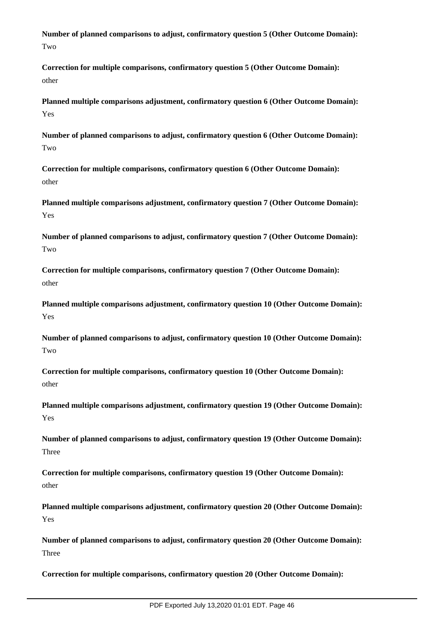**Number of planned comparisons to adjust, confirmatory question 5 (Other Outcome Domain):** Two

**Correction for multiple comparisons, confirmatory question 5 (Other Outcome Domain):** other

**Planned multiple comparisons adjustment, confirmatory question 6 (Other Outcome Domain):** Yes

**Number of planned comparisons to adjust, confirmatory question 6 (Other Outcome Domain):** Two

**Correction for multiple comparisons, confirmatory question 6 (Other Outcome Domain):** other

**Planned multiple comparisons adjustment, confirmatory question 7 (Other Outcome Domain):** Yes

**Number of planned comparisons to adjust, confirmatory question 7 (Other Outcome Domain):** Two

**Correction for multiple comparisons, confirmatory question 7 (Other Outcome Domain):** other

**Planned multiple comparisons adjustment, confirmatory question 10 (Other Outcome Domain):** Yes

**Number of planned comparisons to adjust, confirmatory question 10 (Other Outcome Domain): Two** 

**Correction for multiple comparisons, confirmatory question 10 (Other Outcome Domain):** other

**Planned multiple comparisons adjustment, confirmatory question 19 (Other Outcome Domain):** Yes

**Number of planned comparisons to adjust, confirmatory question 19 (Other Outcome Domain):** Three

**Correction for multiple comparisons, confirmatory question 19 (Other Outcome Domain):** other

**Planned multiple comparisons adjustment, confirmatory question 20 (Other Outcome Domain):** Yes

**Number of planned comparisons to adjust, confirmatory question 20 (Other Outcome Domain):** Three

**Correction for multiple comparisons, confirmatory question 20 (Other Outcome Domain):**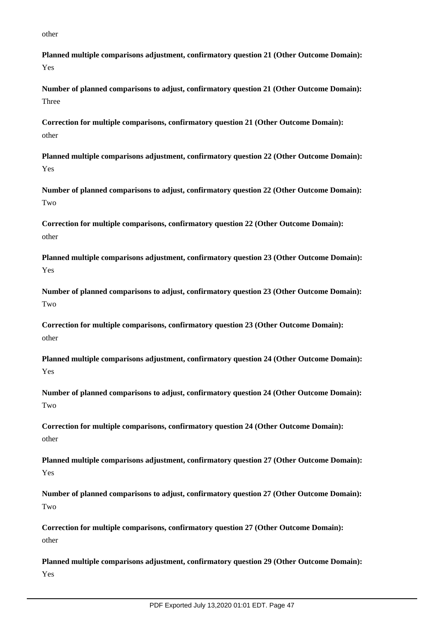other

**Planned multiple comparisons adjustment, confirmatory question 21 (Other Outcome Domain):** Yes

**Number of planned comparisons to adjust, confirmatory question 21 (Other Outcome Domain):** Three

**Correction for multiple comparisons, confirmatory question 21 (Other Outcome Domain):** other

**Planned multiple comparisons adjustment, confirmatory question 22 (Other Outcome Domain):** Yes

**Number of planned comparisons to adjust, confirmatory question 22 (Other Outcome Domain):** Two

**Correction for multiple comparisons, confirmatory question 22 (Other Outcome Domain):** other

**Planned multiple comparisons adjustment, confirmatory question 23 (Other Outcome Domain):** Yes

**Number of planned comparisons to adjust, confirmatory question 23 (Other Outcome Domain):** Two

**Correction for multiple comparisons, confirmatory question 23 (Other Outcome Domain):** other

**Planned multiple comparisons adjustment, confirmatory question 24 (Other Outcome Domain):** Yes

**Number of planned comparisons to adjust, confirmatory question 24 (Other Outcome Domain):** Two

**Correction for multiple comparisons, confirmatory question 24 (Other Outcome Domain):** other

**Planned multiple comparisons adjustment, confirmatory question 27 (Other Outcome Domain):** Yes

**Number of planned comparisons to adjust, confirmatory question 27 (Other Outcome Domain):** Two

**Correction for multiple comparisons, confirmatory question 27 (Other Outcome Domain):** other

**Planned multiple comparisons adjustment, confirmatory question 29 (Other Outcome Domain):** Yes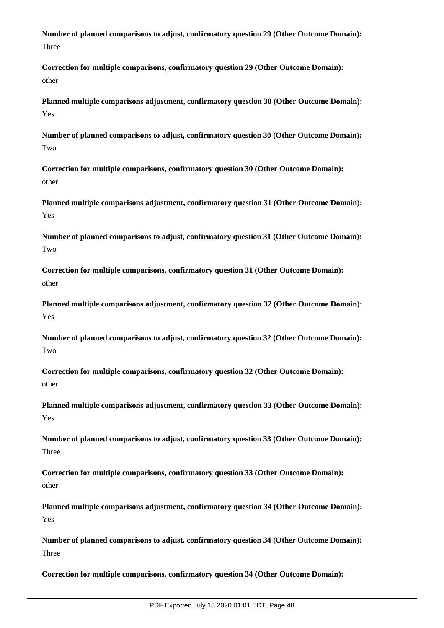**Number of planned comparisons to adjust, confirmatory question 29 (Other Outcome Domain):** Three

**Correction for multiple comparisons, confirmatory question 29 (Other Outcome Domain):** other

**Planned multiple comparisons adjustment, confirmatory question 30 (Other Outcome Domain):** Yes

**Number of planned comparisons to adjust, confirmatory question 30 (Other Outcome Domain):** Two

**Correction for multiple comparisons, confirmatory question 30 (Other Outcome Domain):** other

**Planned multiple comparisons adjustment, confirmatory question 31 (Other Outcome Domain):** Yes

**Number of planned comparisons to adjust, confirmatory question 31 (Other Outcome Domain):** Two

**Correction for multiple comparisons, confirmatory question 31 (Other Outcome Domain):** other

**Planned multiple comparisons adjustment, confirmatory question 32 (Other Outcome Domain):** Yes

**Number of planned comparisons to adjust, confirmatory question 32 (Other Outcome Domain): Two** 

**Correction for multiple comparisons, confirmatory question 32 (Other Outcome Domain):** other

**Planned multiple comparisons adjustment, confirmatory question 33 (Other Outcome Domain):** Yes

**Number of planned comparisons to adjust, confirmatory question 33 (Other Outcome Domain):** Three

**Correction for multiple comparisons, confirmatory question 33 (Other Outcome Domain):** other

**Planned multiple comparisons adjustment, confirmatory question 34 (Other Outcome Domain):** Yes

**Number of planned comparisons to adjust, confirmatory question 34 (Other Outcome Domain):** Three

**Correction for multiple comparisons, confirmatory question 34 (Other Outcome Domain):**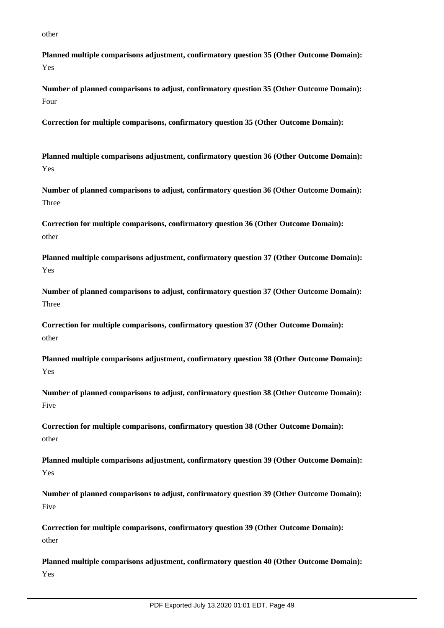other

**Planned multiple comparisons adjustment, confirmatory question 35 (Other Outcome Domain):** Yes

**Number of planned comparisons to adjust, confirmatory question 35 (Other Outcome Domain):** Four

**Correction for multiple comparisons, confirmatory question 35 (Other Outcome Domain):**

**Planned multiple comparisons adjustment, confirmatory question 36 (Other Outcome Domain):** Yes

**Number of planned comparisons to adjust, confirmatory question 36 (Other Outcome Domain):** Three

**Correction for multiple comparisons, confirmatory question 36 (Other Outcome Domain):** other

**Planned multiple comparisons adjustment, confirmatory question 37 (Other Outcome Domain):** Yes

**Number of planned comparisons to adjust, confirmatory question 37 (Other Outcome Domain):** Three

**Correction for multiple comparisons, confirmatory question 37 (Other Outcome Domain):** other

**Planned multiple comparisons adjustment, confirmatory question 38 (Other Outcome Domain):** Yes

**Number of planned comparisons to adjust, confirmatory question 38 (Other Outcome Domain):** Five

**Correction for multiple comparisons, confirmatory question 38 (Other Outcome Domain):** other

**Planned multiple comparisons adjustment, confirmatory question 39 (Other Outcome Domain):** Yes

**Number of planned comparisons to adjust, confirmatory question 39 (Other Outcome Domain):** Five

**Correction for multiple comparisons, confirmatory question 39 (Other Outcome Domain):** other

**Planned multiple comparisons adjustment, confirmatory question 40 (Other Outcome Domain):** Yes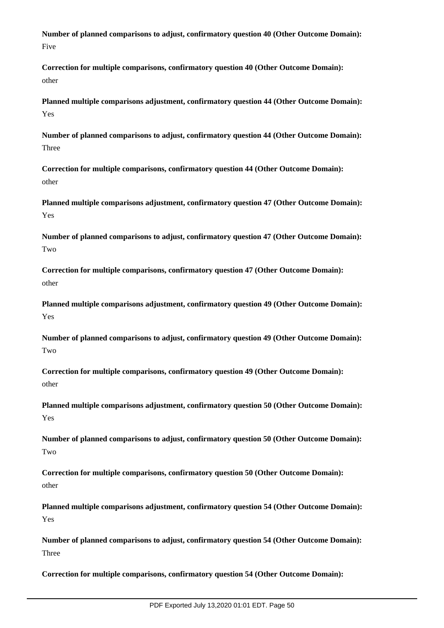**Number of planned comparisons to adjust, confirmatory question 40 (Other Outcome Domain):** Five

**Correction for multiple comparisons, confirmatory question 40 (Other Outcome Domain):** other

**Planned multiple comparisons adjustment, confirmatory question 44 (Other Outcome Domain):** Yes

**Number of planned comparisons to adjust, confirmatory question 44 (Other Outcome Domain):** Three

**Correction for multiple comparisons, confirmatory question 44 (Other Outcome Domain):** other

**Planned multiple comparisons adjustment, confirmatory question 47 (Other Outcome Domain):** Yes

**Number of planned comparisons to adjust, confirmatory question 47 (Other Outcome Domain):** Two

**Correction for multiple comparisons, confirmatory question 47 (Other Outcome Domain):** other

**Planned multiple comparisons adjustment, confirmatory question 49 (Other Outcome Domain):** Yes

**Number of planned comparisons to adjust, confirmatory question 49 (Other Outcome Domain): Two** 

**Correction for multiple comparisons, confirmatory question 49 (Other Outcome Domain):** other

**Planned multiple comparisons adjustment, confirmatory question 50 (Other Outcome Domain):** Yes

**Number of planned comparisons to adjust, confirmatory question 50 (Other Outcome Domain):** Two

**Correction for multiple comparisons, confirmatory question 50 (Other Outcome Domain):** other

**Planned multiple comparisons adjustment, confirmatory question 54 (Other Outcome Domain):** Yes

**Number of planned comparisons to adjust, confirmatory question 54 (Other Outcome Domain):** Three

**Correction for multiple comparisons, confirmatory question 54 (Other Outcome Domain):**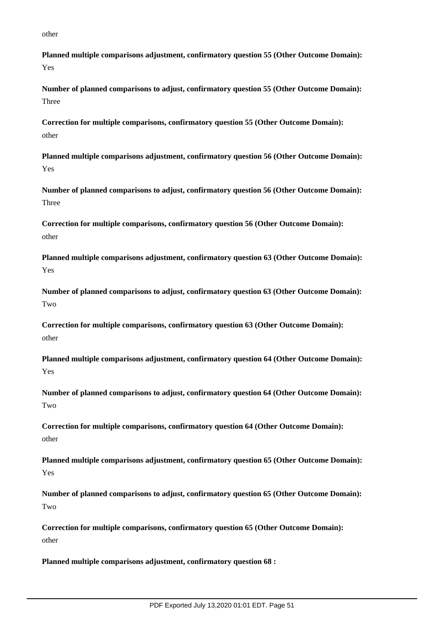other

**Planned multiple comparisons adjustment, confirmatory question 55 (Other Outcome Domain):** Yes

**Number of planned comparisons to adjust, confirmatory question 55 (Other Outcome Domain):** Three

**Correction for multiple comparisons, confirmatory question 55 (Other Outcome Domain):** other

**Planned multiple comparisons adjustment, confirmatory question 56 (Other Outcome Domain):** Yes

**Number of planned comparisons to adjust, confirmatory question 56 (Other Outcome Domain):** Three

**Correction for multiple comparisons, confirmatory question 56 (Other Outcome Domain):** other

**Planned multiple comparisons adjustment, confirmatory question 63 (Other Outcome Domain):** Yes

**Number of planned comparisons to adjust, confirmatory question 63 (Other Outcome Domain):** Two

**Correction for multiple comparisons, confirmatory question 63 (Other Outcome Domain):** other

**Planned multiple comparisons adjustment, confirmatory question 64 (Other Outcome Domain):** Yes

**Number of planned comparisons to adjust, confirmatory question 64 (Other Outcome Domain):** Two

**Correction for multiple comparisons, confirmatory question 64 (Other Outcome Domain):** other

**Planned multiple comparisons adjustment, confirmatory question 65 (Other Outcome Domain):** Yes

**Number of planned comparisons to adjust, confirmatory question 65 (Other Outcome Domain):** Two

**Correction for multiple comparisons, confirmatory question 65 (Other Outcome Domain):** other

**Planned multiple comparisons adjustment, confirmatory question 68 :**